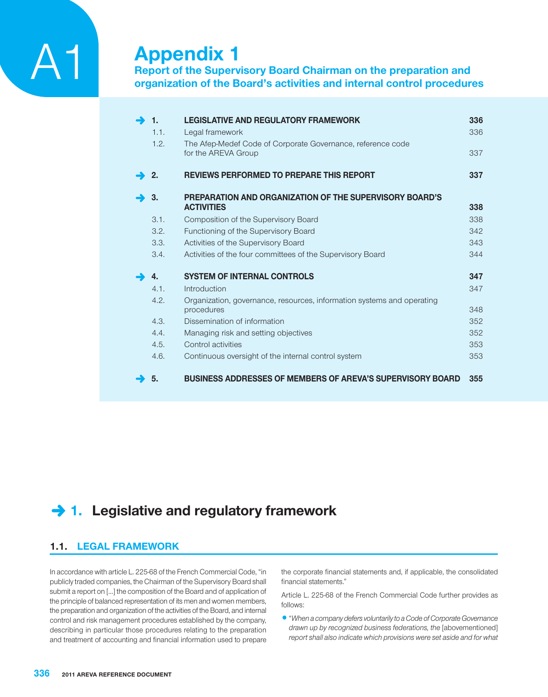# **Appendix 1**

**Report of the Supervisory Board Chairman on the preparation and organization of the Board's activities and internal control procedures**

| 1.   | <b>LEGISLATIVE AND REGULATORY FRAMEWORK</b>                                        | 336 |
|------|------------------------------------------------------------------------------------|-----|
| 1.1. | Legal framework                                                                    | 336 |
| 1.2. | The Afep-Medef Code of Corporate Governance, reference code<br>for the AREVA Group | 337 |
| 2.   | <b>REVIEWS PERFORMED TO PREPARE THIS REPORT</b>                                    | 337 |
| 3.   | PREPARATION AND ORGANIZATION OF THE SUPERVISORY BOARD'S                            |     |
|      | <b>ACTIVITIES</b>                                                                  | 338 |
| 3.1. | Composition of the Supervisory Board                                               | 338 |
| 3.2. | Functioning of the Supervisory Board                                               | 342 |
| 3.3. | Activities of the Supervisory Board                                                | 343 |
| 3.4. | Activities of the four committees of the Supervisory Board                         | 344 |
| 4.   | <b>SYSTEM OF INTERNAL CONTROLS</b>                                                 | 347 |
| 4.1. | Introduction                                                                       | 347 |
| 4.2. | Organization, governance, resources, information systems and operating             |     |
|      | procedures                                                                         | 348 |
| 4.3. | Dissemination of information                                                       | 352 |
| 4.4. | Managing risk and setting objectives                                               | 352 |
| 4.5. | Control activities                                                                 | 353 |
| 4.6. | Continuous oversight of the internal control system                                | 353 |
| 5.   | <b>BUSINESS ADDRESSES OF MEMBERS OF AREVA'S SUPERVISORY BOARD</b>                  | 355 |

# **→ 1. Legislative and regulatory framework**

# **1.1. LEGAL FRAMEWORK**

In accordance with article L. 225-68 of the French Commercial Code, "in publicly traded companies, the Chairman of the Supervisory Board shall submit a report on […] the composition of the Board and of application of the principle of balanced representation of its men and women members, the preparation and organization of the activities of the Board, and internal control and risk management procedures established by the company, describing in particular those procedures relating to the preparation and treatment of accounting and financial information used to prepare

the corporate financial statements and, if applicable, the consolidated financial statements."

Article L. 225-68 of the French Commercial Code further provides as follows:

1"*When a company defers voluntarily to a Code of Corporate Governance*  drawn up by recognized business federations, the [abovementioned] *report shall also indicate which provisions were set aside and for what*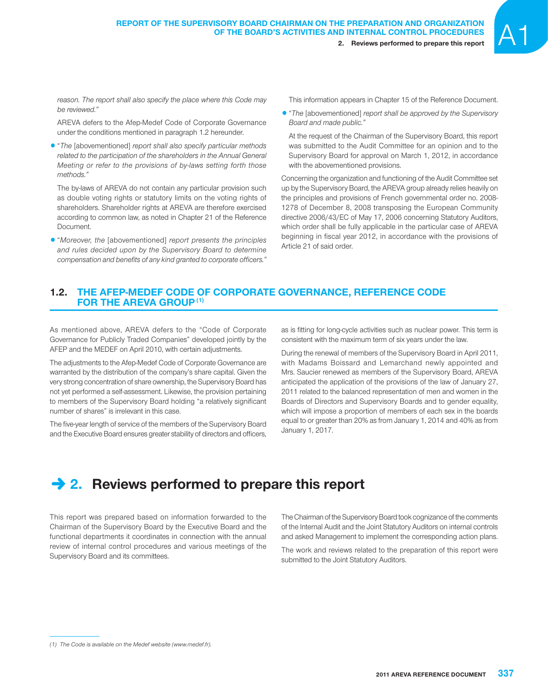*reason. The report shall also specify the place where this Code may be reviewed."*

AREVA defers to the Afep-Medef Code of Corporate Governance under the conditions mentioned in paragraph 1.2 hereunder.

1"*The* [abovementioned] *report shall also specify particular methods related to the participation of the shareholders in the Annual General Meeting or refer to the provisions of by-laws setting forth those methods."*

The by-laws of AREVA do not contain any particular provision such as double voting rights or statutory limits on the voting rights of shareholders. Shareholder rights at AREVA are therefore exercised according to common law, as noted in Chapter 21 of the Reference Document.

1"*Moreover, the* [abovementioned] *report presents the principles and rules decided upon by the Supervisory Board to determine compensation and benefits of any kind granted to corporate officers."* This information appears in Chapter 15 of the Reference Document.

1"*The* [abovementioned] *report shall be approved by the Supervisory Board and made public."*

At the request of the Chairman of the Supervisory Board, this report was submitted to the Audit Committee for an opinion and to the Supervisory Board for approval on March 1, 2012, in accordance with the abovementioned provisions.

Concerning the organization and functioning of the Audit Committee set up by the Supervisory Board, the AREVA group already relies heavily on the principles and provisions of French governmental order no. 2008- 1278 of December 8, 2008 transposing the European Community directive 2006/43/EC of May 17, 2006 concerning Statutory Auditors, which order shall be fully applicable in the particular case of AREVA beginning in fiscal year 2012, in accordance with the provisions of Article 21 of said order.

## **1.2. THE AFEP-MEDEF CODE OF CORPORATE GOVERNANCE, REFERENCE CODE FOR THE AREVA GROUP (1)**

As mentioned above, AREVA defers to the "Code of Corporate Governance for Publicly Traded Companies" developed jointly by the AFEP and the MEDEF on April 2010, with certain adjustments.

The adjustments to the Afep-Medef Code of Corporate Governance are warranted by the distribution of the company's share capital. Given the very strong concentration of share ownership, the Supervisory Board has not yet performed a self-assessment. Likewise, the provision pertaining to members of the Supervisory Board holding "a relatively significant number of shares" is irrelevant in this case.

The five-year length of service of the members of the Supervisory Board and the Executive Board ensures greater stability of directors and officers,

as is fitting for long-cycle activities such as nuclear power. This term is consistent with the maximum term of six years under the law.

During the renewal of members of the Supervisory Board in April 2011, with Madams Boissard and Lemarchand newly appointed and Mrs. Saucier renewed as members of the Supervisory Board, AREVA anticipated the application of the provisions of the law of January 27, 2011 related to the balanced representation of men and women in the Boards of Directors and Supervisory Boards and to gender equality, which will impose a proportion of members of each sex in the boards equal to or greater than 20% as from January 1, 2014 and 40% as from January 1, 2017.

# **→ 2. Reviews performed to prepare this report**

This report was prepared based on information forwarded to the Chairman of the Supervisory Board by the Executive Board and the functional departments it coordinates in connection with the annual review of internal control procedures and various meetings of the Supervisory Board and its committees.

The Chairman of the Supervisory Board took cognizance of the comments of the Internal Audit and the Joint Statutory Auditors on internal controls and asked Management to implement the corresponding action plans.

The work and reviews related to the preparation of this report were submitted to the Joint Statutory Auditors.

*<sup>(1)</sup> The Code is available on the Medef website (www.medef.fr).*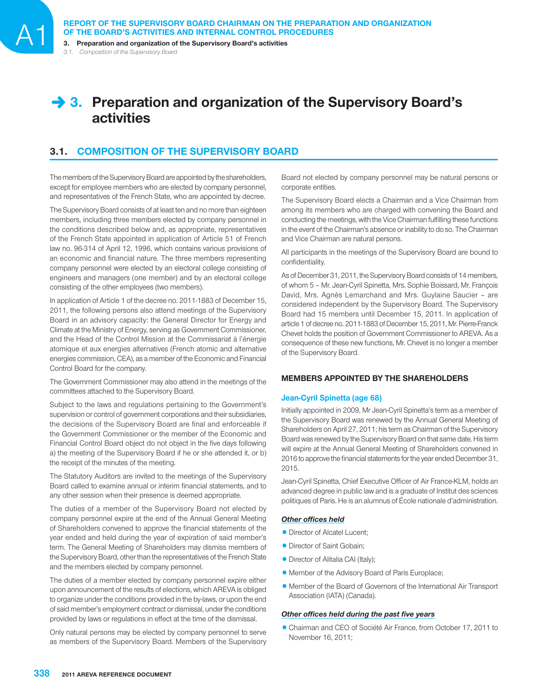*3.1. Composition of the Supervisory Board*

# **→ 3. Preparation and organization of the Supervisory Board's activities**

# **3.1. COMPOSITION OF THE SUPERVISORY BOARD**

The members of the Supervisory Board are appointed by the shareholders, except for employee members who are elected by company personnel, and representatives of the French State, who are appointed by decree.

The Supervisory Board consists of at least ten and no more than eighteen members, including three members elected by company personnel in the conditions described below and, as appropriate, representatives of the French State appointed in application of Article 51 of French law no. 96-314 of April 12, 1996, which contains various provisions of an economic and financial nature. The three members representing company personnel were elected by an electoral college consisting of engineers and managers (one member) and by an electoral college consisting of the other employees (two members).

In application of Article 1 of the decree no. 2011-1883 of December 15, 2011, the following persons also attend meetings of the Supervisory Board in an advisory capacity: the General Director for Energy and Climate at the Ministry of Energy, serving as Government Commissioner, and the Head of the Control Mission at the Commissariat à l'énergie atomique et aux energies alternatives (French atomic and alternative energies commission, CEA), as a member of the Economic and Financial Control Board for the company.

The Government Commissioner may also attend in the meetings of the committees attached to the Supervisory Board.

Subject to the laws and regulations pertaining to the Government's supervision or control of government corporations and their subsidiaries, the decisions of the Supervisory Board are final and enforceable if the Government Commissioner or the member of the Economic and Financial Control Board object do not object in the five days following a) the meeting of the Supervisory Board if he or she attended it, or b) the receipt of the minutes of the meeting.

The Statutory Auditors are invited to the meetings of the Supervisory Board called to examine annual or interim financial statements, and to any other session when their presence is deemed appropriate.

The duties of a member of the Supervisory Board not elected by company personnel expire at the end of the Annual General Meeting of Shareholders convened to approve the financial statements of the year ended and held during the year of expiration of said member's term. The General Meeting of Shareholders may dismiss members of the Supervisory Board, other than the representatives of the French State and the members elected by company personnel.

The duties of a member elected by company personnel expire either upon announcement of the results of elections, which AREVA is obliged to organize under the conditions provided in the by-laws, or upon the end of said member's employment contract or dismissal, under the conditions provided by laws or regulations in effect at the time of the dismissal.

Only natural persons may be elected by company personnel to serve as members of the Supervisory Board. Members of the Supervisory Board not elected by company personnel may be natural persons or corporate entities.

The Supervisory Board elects a Chairman and a Vice Chairman from among its members who are charged with convening the Board and conducting the meetings, with the Vice Chairman fulfilling these functions in the event of the Chairman's absence or inability to do so. The Chairman and Vice Chairman are natural persons.

All participants in the meetings of the Supervisory Board are bound to confidentiality.

As of December 31, 2011, the Supervisory Board consists of 14 members, of whom 5 – Mr. Jean-Cyril Spinetta, Mrs. Sophie Boissard, Mr. François David, Mrs. Agnès Lemarchand and Mrs. Guylaine Saucier – are considered independent by the Supervisory Board. The Supervisory Board had 15 members until December 15, 2011. In application of article 1 of decree no. 2011-1883 of December 15, 2011, Mr. Pierre-Franck Chevet holds the position of Government Commissioner to AREVA. As a consequence of these new functions, Mr. Chevet is no longer a member of the Supervisory Board.

## **MEMBERS APPOINTED BY THE SHAREHOLDERS**

#### **Jean-Cyril Spinetta (age 68)**

Initially appointed in 2009, Mr Jean-Cyril Spinetta's term as a member of the Supervisory Board was renewed by the Annual General Meeting of Shareholders on April 27, 2011; his term as Chairman of the Supervisory Board was renewed by the Supervisory Board on that same date. His term will expire at the Annual General Meeting of Shareholders convened in 2016 to approve the financial statements for the year ended December 31, 2015.

Jean-Cyril Spinetta, Chief Executive Officer of Air France-KLM, holds an advanced degree in public law and is a graduate of Institut des sciences politiques of Paris. He is an alumnus of École nationale d'administration.

#### **Other offices held**

- Director of Alcatel Lucent:
- Director of Saint Gobain;
- Director of Alitalia CAI (Italy);
- 1 Member of the Advisory Board of Paris Europlace;
- 1 Member of the Board of Governors of the International Air Transport Association (IATA) (Canada).

## **Other offices held during the past five years**

1Chairman and CEO of Société Air France, from October 17, 2011 to November 16, 2011;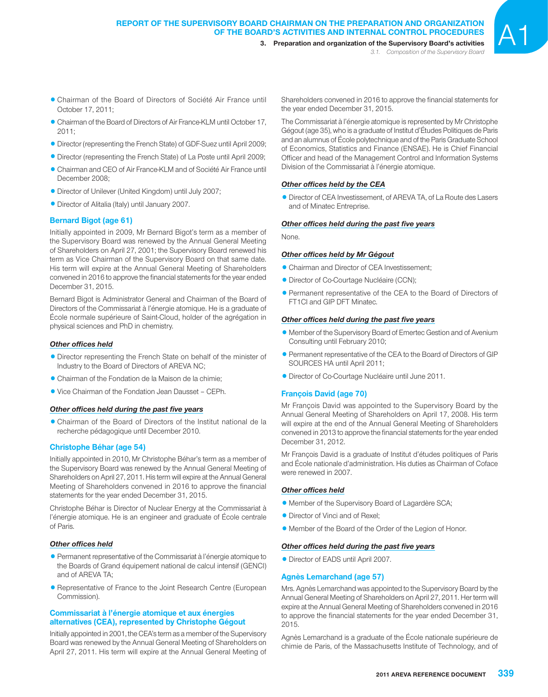3. Preparation and organization of the Supervisory Board's activities *3.1. Composition of the Supervisory Board*

- 1Chairman of the Board of Directors of Société Air France until October 17, 2011;
- Chairman of the Board of Directors of Air France-KLM until October 17,  $2011$
- 1Director (representing the French State) of GDF-Suez until April 2009;
- Director (representing the French State) of La Poste until April 2009;
- Chairman and CEO of Air France-KLM and of Société Air France until December 2008;
- 1Director of Unilever (United Kingdom) until July 2007;
- 1Director of Alitalia (Italy) until January 2007.

## **Bernard Bigot (age 61)**

Initially appointed in 2009, Mr Bernard Bigot's term as a member of the Supervisory Board was renewed by the Annual General Meeting of Shareholders on April 27, 2001; the Supervisory Board renewed his term as Vice Chairman of the Supervisory Board on that same date. His term will expire at the Annual General Meeting of Shareholders convened in 2016 to approve the financial statements for the year ended December 31, 2015.

Bernard Bigot is Administrator General and Chairman of the Board of Directors of the Commissariat à l'énergie atomique. He is a graduate of École normale supérieure of Saint-Cloud, holder of the agrégation in physical sciences and PhD in chemistry.

#### **Other offices held**

- 1Director representing the French State on behalf of the minister of Industry to the Board of Directors of AREVA NC;
- Chairman of the Fondation de la Maison de la chimie;
- 1Vice Chairman of the Fondation Jean Dausset CEPh.

### **Other offices held during the past five years**

1Chairman of the Board of Directors of the Institut national de la recherche pédagogique until December 2010.

#### **Christophe Béhar (age 54)**

Initially appointed in 2010, Mr Christophe Béhar's term as a member of the Supervisory Board was renewed by the Annual General Meeting of Shareholders on April 27, 2011. His term will expire at the Annual General Meeting of Shareholders convened in 2016 to approve the financial statements for the year ended December 31, 2015.

Christophe Béhar is Director of Nuclear Energy at the Commissariat à l'énergie atomique. He is an engineer and graduate of École centrale of Paris.

#### **Other offices held**

- 1Permanent representative of the Commissariat à l'énergie atomique to the Boards of Grand équipement national de calcul intensif (GENCI) and of AREVA TA;
- **Representative of France to the Joint Research Centre (European** Commission).

## **Commissariat à l'énergie atomique et aux énergies alternatives (CEA), represented by Christophe Gégout**

Initially appointed in 2001, the CEA's term as a member of the Supervisory Board was renewed by the Annual General Meeting of Shareholders on April 27, 2011. His term will expire at the Annual General Meeting of

Shareholders convened in 2016 to approve the financial statements for the year ended December 31, 2015.

The Commissariat à l'énergie atomique is represented by Mr Christophe Gégout (age 35), who is a graduate of Institut d'Études Politiques de Paris and an alumnus of École polytechnique and of the Paris Graduate School of Economics, Statistics and Finance (ENSAE). He is Chief Financial Officer and head of the Management Control and Information Systems Division of the Commissariat à l'énergie atomique.

#### **Other offices held by the CEA**

**• Director of CEA Investissement, of AREVA TA, of La Route des Lasers** and of Minatec Entreprise.

#### **Other offices held during the past five years**

None.

#### **Other offices held by Mr Gégout**

- Chairman and Director of CEA Investissement;
- **Director of Co-Courtage Nucléaire (CCN);**
- Permanent representative of the CEA to the Board of Directors of FT1CI and GIP DFT Minatec.

#### **Other offices held during the past five years**

- 1 Member of the Supervisory Board of Emertec Gestion and of Avenium Consulting until February 2010;
- 1Permanent representative of the CEA to the Board of Directors of GIP SOURCES HA until April 2011;
- 1Director of Co-Courtage Nucléaire until June 2011.

#### **François David (age 70)**

Mr François David was appointed to the Supervisory Board by the Annual General Meeting of Shareholders on April 17, 2008. His term will expire at the end of the Annual General Meeting of Shareholders convened in 2013 to approve the financial statements for the year ended December 31, 2012.

Mr François David is a graduate of Institut d'études politiques of Paris and École nationale d'administration. His duties as Chairman of Coface were renewed in 2007.

## **Other offices held**

- 1 Member of the Supervisory Board of Lagardère SCA;
- Director of Vinci and of Rexel:
- 1 Member of the Board of the Order of the Legion of Honor.

#### **Other offices held during the past five years**

• Director of EADS until April 2007.

#### **Agnès Lemarchand (age 57)**

Mrs. Agnès Lemarchand was appointed to the Supervisory Board by the Annual General Meeting of Shareholders on April 27, 2011. Her term will expire at the Annual General Meeting of Shareholders convened in 2016 to approve the financial statements for the year ended December 31, 2015.

Agnès Lemarchand is a graduate of the École nationale supérieure de chimie de Paris, of the Massachusetts Institute of Technology, and of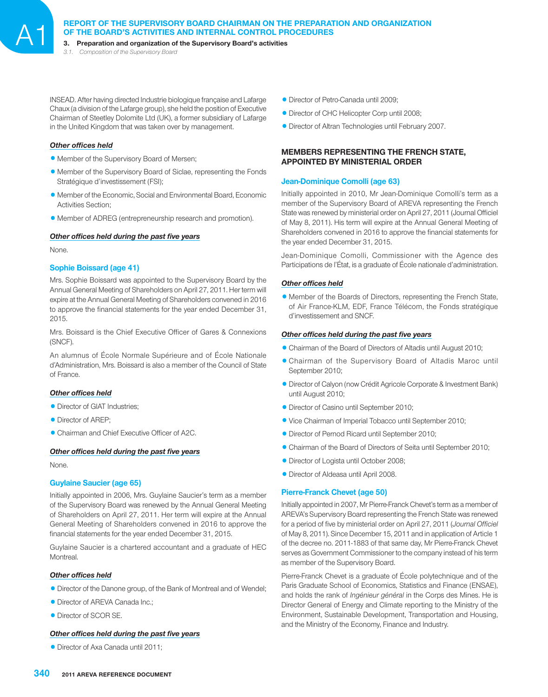**REPORT OF THE SUPERVISORY BOARD CHAIRMAN ON THE PREPARATION AND ORGANIZATION OF THE BOARD'S ACTIVITIES AND INTERNAL CONTROL PROCEDURES**<br>3. Preparation and organization of the Supervisory Board's activities

*3.1. Composition of the Supervisory Board*

INSEAD. After having directed Industrie biologique française and Lafarge Chaux (a division of the Lafarge group), she held the position of Executive Chairman of Steetley Dolomite Ltd (UK), a former subsidiary of Lafarge in the United Kingdom that was taken over by management.

#### **Other offices held**

- Member of the Supervisory Board of Mersen;
- Member of the Supervisory Board of Siclae, representing the Fonds Stratégique d'investissement (FSI);
- 1 Member of the Economic, Social and Environmental Board, Economic Activities Section:
- 1 Member of ADREG (entrepreneurship research and promotion) .

#### **Other offices held during the past five years**

None.

## **Sophie Boissard (age 41)**

Mrs. Sophie Boissard was appointed to the Supervisory Board by the Annual General Meeting of Shareholders on April 27, 2011. Her term will expire at the Annual General Meeting of Shareholders convened in 2016 to approve the financial statements for the year ended December 31, 2015.

Mrs. Boissard is the Chief Executive Officer of Gares & Connexions (SNCF).

An alumnus of École Normale Supérieure and of École Nationale d'Administration, Mrs. Boissard is also a member of the Council of State of France.

#### **Other offices held**

- Director of GIAT Industries;
- Director of AREP;
- Chairman and Chief Executive Officer of A2C.

#### **Other offices held during the past five years**

None.

## **Guylaine Saucier (age 65)**

Initially appointed in 2006, Mrs. Guylaine Saucier's term as a member of the Supervisory Board was renewed by the Annual General Meeting of Shareholders on April 27, 2011. Her term will expire at the Annual General Meeting of Shareholders convened in 2016 to approve the financial statements for the year ended December 31, 2015.

Guylaine Saucier is a chartered accountant and a graduate of HEC Montreal.

#### **Other offices held**

- **•** Director of the Danone group, of the Bank of Montreal and of Wendel;
- Director of AREVA Canada Inc.;
- Director of SCOR SE.

#### **Other offices held during the past five years**

• Director of Axa Canada until 2011;

- **Director of Petro-Canada until 2009;**
- Director of CHC Helicopter Corp until 2008;
- 1Director of Altran Technologies until February 2007.

## **MEMBERS REPRESENTING THE FRENCH STATE, APPOINTED BY MINISTERIAL ORDER**

#### **Jean-Dominique Comolli (age 63)**

Initially appointed in 2010, Mr Jean-Dominique Comolli's term as a member of the Supervisory Board of AREVA representing the French State was renewed by ministerial order on April 27, 2011 (Journal Officiel of May 8, 2011). His term will expire at the Annual General Meeting of Shareholders convened in 2016 to approve the financial statements for the year ended December 31, 2015.

Jean-Dominique Comolli, Commissioner with the Agence des Participations de l'État, is a graduate of École nationale d'administration.

#### **Other offices held**

1 Member of the Boards of Directors, representing the French State, of Air France-KLM, EDF, France Télécom, the Fonds stratégique d'investissement and SNCF.

#### **Other offices held during the past five years**

- Chairman of the Board of Directors of Altadis until August 2010;
- 1Chairman of the Supervisory Board of Altadis Maroc until September 2010;
- **Director of Calyon (now Crédit Agricole Corporate & Investment Bank)** until August 2010;
- Director of Casino until September 2010;
- 1Vice Chairman of Imperial Tobacco until September 2010;
- Director of Pernod Ricard until September 2010;
- 1Chairman of the Board of Directors of Seita until September 2010;
- Director of Logista until October 2008;
- 1Director of Aldeasa until April 2008.

#### **Pierre-Franck Chevet (age 50)**

Initially appointed in 2007, Mr Pierre-Franck Chevet's term as a member of AREVA's Supervisory Board representing the French State was renewed for a period of five by ministerial order on April 27, 2011 (*Journal Officiel* of May 8, 2011). Since December 15, 2011 and in application of Article 1 of the decree no. 2011-1883 of that same day, Mr Pierre-Franck Chevet serves as Government Commissioner to the company instead of his term as member of the Supervisory Board.

Pierre-Franck Chevet is a graduate of École polytechnique and of the Paris Graduate School of Economics, Statistics and Finance (ENSAE), and holds the rank of *Ingénieur général* in the Corps des Mines. He is Director General of Energy and Climate reporting to the Ministry of the Environment, Sustainable Development, Transportation and Housing, and the Ministry of the Economy, Finance and Industry.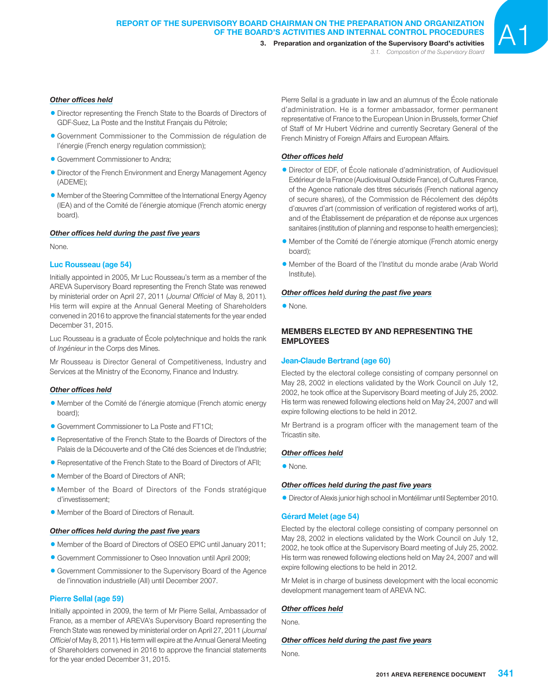## **Other offices held**

- Director representing the French State to the Boards of Directors of GDF-Suez, La Poste and the Institut Français du Pétrole;
- 1 Government Commissioner to the Commission de régulation de l'énergie (French energy regulation commission);
- Government Commissioner to Andra;
- Director of the French Environment and Energy Management Agency (ADEME);
- Member of the Steering Committee of the International Energy Agency (IEA) and of the Comité de l'énergie atomique (French atomic energy board).

## **Other offices held during the past five years**

None.

## **Luc Rousseau (age 54)**

Initially appointed in 2005, Mr Luc Rousseau's term as a member of the AREVA Supervisory Board representing the French State was renewed by ministerial order on April 27, 2011 (*Journal Officiel* of May 8, 2011). His term will expire at the Annual General Meeting of Shareholders convened in 2016 to approve the financial statements for the year ended December 31, 2015.

Luc Rousseau is a graduate of École polytechnique and holds the rank of *Ingénieur* in the Corps des Mines.

Mr Rousseau is Director General of Competitiveness, Industry and Services at the Ministry of the Economy, Finance and Industry.

## **Other offices held**

- 1 Member of the Comité de l'énergie atomique (French atomic energy board);
- Government Commissioner to La Poste and FT1CI;
- Representative of the French State to the Boards of Directors of the Palais de la Découverte and of the Cité des Sciences et de l'Industrie;
- Representative of the French State to the Board of Directors of AFII;
- Member of the Board of Directors of ANR;
- 1 Member of the Board of Directors of the Fonds stratégique d'investissement;
- 1 Member of the Board of Directors of Renault.

## **Other offices held during the past five years**

- 1 Member of the Board of Directors of OSEO EPIC until January 2011;
- 1 Government Commissioner to Oseo Innovation until April 2009;
- 1 Government Commissioner to the Supervisory Board of the Agence de l'innovation industrielle (AII) until December 2007.

## **Pierre Sellal (age 59)**

Initially appointed in 2009, the term of Mr Pierre Sellal, Ambassador of France, as a member of AREVA's Supervisory Board representing the French State was renewed by ministerial order on April 27, 2011 (*Journal Officiel* of May 8, 2011). His term will expire at the Annual General Meeting of Shareholders convened in 2016 to approve the financial statements for the year ended December 31, 2015.

Pierre Sellal is a graduate in law and an alumnus of the École nationale d'administration. He is a former ambassador, former permanent representative of France to the European Union in Brussels, former Chief of Staff of Mr Hubert Védrine and currently Secretary General of the French Ministry of Foreign Affairs and European Affairs.

## **Other offices held**

- 1Director of EDF, of École nationale d'administration, of Audiovisuel Extérieur de la France (Audiovisual Outside France), of Cultures France, of the Agence nationale des titres sécurisés (French national agency of secure shares), of the Commission de Récolement des dépôts d'œuvres d'art (commission of verification of registered works of art), and of the Établissement de préparation et de réponse aux urgences sanitaires (institution of planning and response to health emergencies);
- 1 Member of the Comité de l'énergie atomique (French atomic energy board);
- 1 Member of the Board of the l'Institut du monde arabe (Arab World Institute).

## **Other offices held during the past five years**

• None.

## **MEMBERS ELECTED BY AND REPRESENTING THE EMPLOYEES**

### **Jean-Claude Bertrand (age 60)**

Elected by the electoral college consisting of company personnel on May 28, 2002 in elections validated by the Work Council on July 12, 2002, he took office at the Supervisory Board meeting of July 25, 2002. His term was renewed following elections held on May 24, 2007 and will expire following elections to be held in 2012.

Mr Bertrand is a program officer with the management team of the Tricastin site.

#### **Other offices held**

• None.

#### **Other offices held during the past five years**

1Director of Alexis junior high school in Montélimar until September 2010.

#### **Gérard Melet (age 54)**

Elected by the electoral college consisting of company personnel on May 28, 2002 in elections validated by the Work Council on July 12, 2002, he took office at the Supervisory Board meeting of July 25, 2002. His term was renewed following elections held on May 24, 2007 and will expire following elections to be held in 2012.

Mr Melet is in charge of business development with the local economic development management team of AREVA NC.

#### **Other offices held**

None.

#### **Other offices held during the past five years**

None.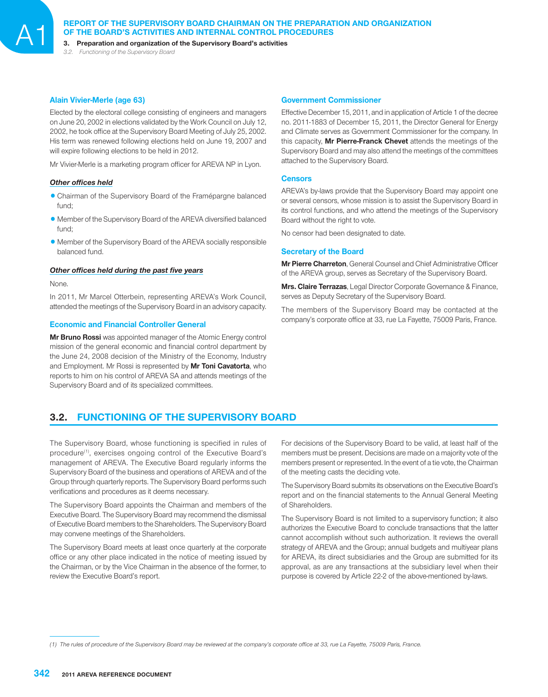# **REPORT OF THE SUPERVISORY BOARD CHAIRMAN ON THE PREPARATION AND ORGANIZATION OF THE BOARD'S ACTIVITIES AND INTERNAL CONTROL PROCEDURES**<br>3. Preparation and organization of the Supervisory Board's activities

*3.2. Functioning of the Supervisory Board*

### **Alain Vivier-Merle (age 63)**

Elected by the electoral college consisting of engineers and managers on June 20, 2002 in elections validated by the Work Council on July 12, 2002, he took office at the Supervisory Board Meeting of July 25, 2002. His term was renewed following elections held on June 19, 2007 and will expire following elections to be held in 2012.

Mr Vivier-Merle is a marketing program officer for AREVA NP in Lyon.

#### **Other offices held**

- 1Chairman of the Supervisory Board of the Framépargne balanced fund;
- Member of the Supervisory Board of the AREVA diversified balanced fund;
- Member of the Supervisory Board of the AREVA socially responsible balanced fund.

#### **Other offices held during the past five years**

None.

In 2011, Mr Marcel Otterbein, representing AREVA's Work Council, attended the meetings of the Supervisory Board in an advisory capacity.

## **Economic and Financial Controller General**

**Mr Bruno Rossi** was appointed manager of the Atomic Energy control mission of the general economic and financial control department by the June 24, 2008 decision of the Ministry of the Economy, Industry and Employment. Mr Rossi is represented by **Mr Toni Cavatorta**, who reports to him on his control of AREVA SA and attends meetings of the Supervisory Board and of its specialized committees.

#### **Government Commissioner**

Effective December 15, 2011, and in application of Article 1 of the decree no. 2011-1883 of December 15, 2011, the Director General for Energy and Climate serves as Government Commissioner for the company. In this capacity, **Mr Pierre-Franck Chevet** attends the meetings of the Supervisory Board and may also attend the meetings of the committees attached to the Supervisory Board.

#### **Censors**

AREVA's by-laws provide that the Supervisory Board may appoint one or several censors, whose mission is to assist the Supervisory Board in its control functions, and who attend the meetings of the Supervisory Board without the right to vote.

No censor had been designated to date.

## **Secretary of the Board**

**Mr Pierre Charreton**, General Counsel and Chief Administrative Officer of the AREVA group, serves as Secretary of the Supervisory Board.

**Mrs. Claire Terrazas**, Legal Director Corporate Governance & Finance, serves as Deputy Secretary of the Supervisory Board.

The members of the Supervisory Board may be contacted at the company's corporate office at 33, rue La Fayette, 75009 Paris, France.

# **3.2. FUNCTIONING OF THE SUPERVISORY BOARD**

The Supervisory Board, whose functioning is specified in rules of procedure<sup>(1)</sup>, exercises ongoing control of the Executive Board's management of AREVA. The Executive Board regularly informs the Supervisory Board of the business and operations of AREVA and of the Group through quarterly reports. The Supervisory Board performs such verifications and procedures as it deems necessary.

The Supervisory Board appoints the Chairman and members of the Executive Board. The Supervisory Board may recommend the dismissal of Executive Board members to the Shareholders. The Supervisory Board may convene meetings of the Shareholders.

The Supervisory Board meets at least once quarterly at the corporate office or any other place indicated in the notice of meeting issued by the Chairman, or by the Vice Chairman in the absence of the former, to review the Executive Board's report.

For decisions of the Supervisory Board to be valid, at least half of the members must be present. Decisions are made on a majority vote of the members present or represented. In the event of a tie vote, the Chairman of the meeting casts the deciding vote.

The Supervisory Board submits its observations on the Executive Board's report and on the financial statements to the Annual General Meeting of Shareholders.

The Supervisory Board is not limited to a supervisory function; it also authorizes the Executive Board to conclude transactions that the latter cannot accomplish without such authorization. It reviews the overall strategy of AREVA and the Group; annual budgets and multiyear plans for AREVA, its direct subsidiaries and the Group are submitted for its approval, as are any transactions at the subsidiary level when their purpose is covered by Article 22-2 of the above-mentioned by-laws.

<sup>(1)</sup> The rules of procedure of the Supervisory Board may be reviewed at the company's corporate office at 33, rue La Fayette, 75009 Paris, France.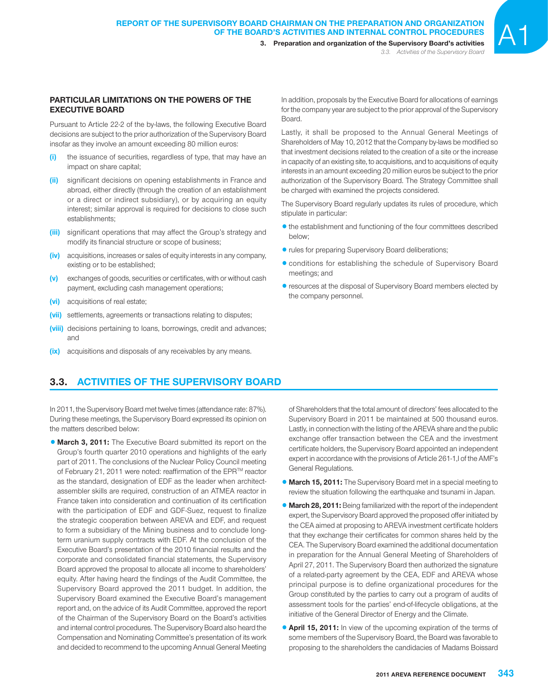3. Preparation and organization of the Supervisory Board's activities *3.3. Activities of the Supervisory Board*

## **PARTICULAR LIMITATIONS ON THE POWERS OF THE EXECUTIVE BOARD**

Pursuant to Article 22-2 of the by-laws, the following Executive Board decisions are subject to the prior authorization of the Supervisory Board insofar as they involve an amount exceeding 80 million euros:

- **(i)** the issuance of securities, regardless of type, that may have an impact on share capital;
- **(ii)** significant decisions on opening establishments in France and abroad, either directly (through the creation of an establishment or a direct or indirect subsidiary), or by acquiring an equity interest; similar approval is required for decisions to close such establishments;
- **(iii)** significant operations that may affect the Group's strategy and modify its financial structure or scope of business;
- **(iv)** acquisitions, increases or sales of equity interests in any company, existing or to be established;
- (v) exchanges of goods, securities or certificates, with or without cash payment, excluding cash management operations;
- **(vi)** acquisitions of real estate;
- **(vii)** settlements, agreements or transactions relating to disputes;
- **(viii)** decisions pertaining to loans, borrowings, credit and advances; and
- **(ix)** acquisitions and disposals of any receivables by any means.

In addition, proposals by the Executive Board for allocations of earnings for the company year are subject to the prior approval of the Supervisory **Board** 

Lastly, it shall be proposed to the Annual General Meetings of Shareholders of May 10, 2012 that the Company by-laws be modified so that investment decisions related to the creation of a site or the increase in capacity of an existing site, to acquisitions, and to acquisitions of equity interests in an amount exceeding 20 million euros be subject to the prior authorization of the Supervisory Board. The Strategy Committee shall be charged with examined the projects considered.

The Supervisory Board regularly updates its rules of procedure, which stipulate in particular:

- $\bullet$  the establishment and functioning of the four committees described below;
- rules for preparing Supervisory Board deliberations;
- conditions for establishing the schedule of Supervisory Board meetings; and
- $\bullet$  resources at the disposal of Supervisory Board members elected by the company personnel.

# **3.3. ACTIVITIES OF THE SUPERVISORY BOARD**

In 2011, the Supervisory Board met twelve times (attendance rate: 87%). During these meetings, the Supervisory Board expressed its opinion on the matters described below:

**• March 3, 2011:** The Executive Board submitted its report on the Group's fourth quarter 2010 operations and highlights of the early part of 2011. The conclusions of the Nuclear Policy Council meeting of February 21, 2011 were noted: reaffirmation of the EPR™ reactor as the standard, designation of EDF as the leader when architectassembler skills are required, construction of an ATMEA reactor in France taken into consideration and continuation of its certification with the participation of EDF and GDF-Suez, request to finalize the strategic cooperation between AREVA and EDF, and request to form a subsidiary of the Mining business and to conclude longterm uranium supply contracts with EDF. At the conclusion of the Executive Board's presentation of the 2010 financial results and the corporate and consolidated financial statements, the Supervisory Board approved the proposal to allocate all income to shareholders' equity. After having heard the findings of the Audit Committee, the Supervisory Board approved the 2011 budget. In addition, the Supervisory Board examined the Executive Board's management report and, on the advice of its Audit Committee, approved the report of the Chairman of the Supervisory Board on the Board's activities and internal control procedures. The Supervisory Board also heard the Compensation and Nominating Committee's presentation of its work and decided to recommend to the upcoming Annual General Meeting

of Shareholders that the total amount of directors' fees allocated to the Supervisory Board in 2011 be maintained at 500 thousand euros. Lastly, in connection with the listing of the AREVA share and the public exchange offer transaction between the CEA and the investment certificate holders, the Supervisory Board appointed an independent expert in accordance with the provisions of Article 261-1,I of the AMF's General Regulations.

- **March 15, 2011:** The Supervisory Board met in a special meeting to review the situation following the earthquake and tsunami in Japan.
- **March 28, 2011:** Being familiarized with the report of the independent expert, the Supervisory Board approved the proposed offer initiated by the CEA aimed at proposing to AREVA investment certificate holders that they exchange their certificates for common shares held by the CEA. The Supervisory Board examined the additional documentation in preparation for the Annual General Meeting of Shareholders of April 27, 2011. The Supervisory Board then authorized the signature of a related-party agreement by the CEA, EDF and AREVA whose principal purpose is to define organizational procedures for the Group constituted by the parties to carry out a program of audits of assessment tools for the parties' end-of-lifecycle obligations, at the initiative of the General Director of Energy and the Climate.
- **4 April 15, 2011:** In view of the upcoming expiration of the terms of some members of the Supervisory Board, the Board was favorable to proposing to the shareholders the candidacies of Madams Boissard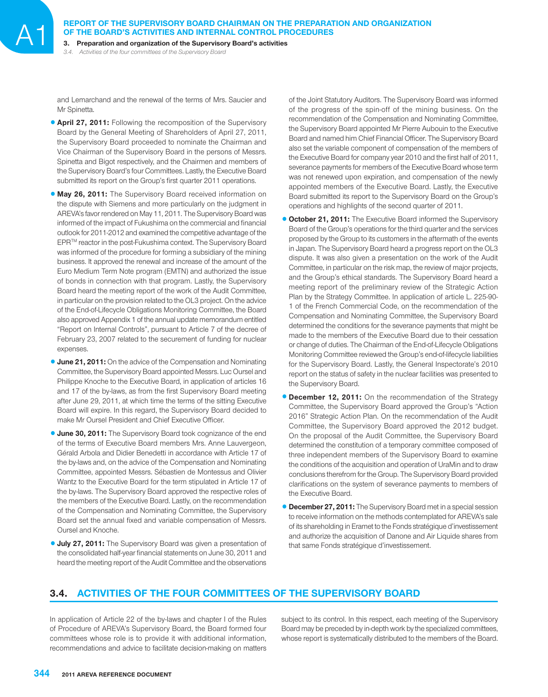**REPORT OF THE SUPERVISORY BOARD CHAIRMAN ON THE PREPARATION AND ORGANIZATION OF THE BOARD'S ACTIVITIES AND INTERNAL CONTROL PROCEDURES**<br>3. Preparation and organization of the Supervisory Board's activities

*3.4. Activities of the four committees of the Supervisory Board*

and Lemarchand and the renewal of the terms of Mrs. Saucier and Mr Spinetta.

- **4 April 27, 2011:** Following the recomposition of the Supervisory Board by the General Meeting of Shareholders of April 27, 2011, the Supervisory Board proceeded to nominate the Chairman and Vice Chairman of the Supervisory Board in the persons of Messrs. Spinetta and Bigot respectively, and the Chairmen and members of the Supervisory Board's four Committees. Lastly, the Executive Board submitted its report on the Group's first quarter 2011 operations.
- **May 26, 2011:** The Supervisory Board received information on the dispute with Siemens and more particularly on the judgment in AREVA's favor rendered on May 11, 2011. The Supervisory Board was informed of the impact of Fukushima on the commercial and financial outlook for 2011-2012 and examined the competitive advantage of the EPRTM reactor in the post-Fukushima context. The Supervisory Board was informed of the procedure for forming a subsidiary of the mining business. It approved the renewal and increase of the amount of the Euro Medium Term Note program (EMTN) and authorized the issue of bonds in connection with that program. Lastly, the Supervisory Board heard the meeting report of the work of the Audit Committee, in particular on the provision related to the OL3 project. On the advice of the End-of-Lifecycle Obligations Monitoring Committee, the Board also approved Appendix 1 of the annual update memorandum entitled "Report on Internal Controls", pursuant to Article 7 of the decree of February 23, 2007 related to the securement of funding for nuclear expenses.
- **June 21, 2011:** On the advice of the Compensation and Nominating Committee, the Supervisory Board appointed Messrs. Luc Oursel and Philippe Knoche to the Executive Board, in application of articles 16 and 17 of the by-laws, as from the first Supervisory Board meeting after June 29, 2011, at which time the terms of the sitting Executive Board will expire. In this regard, the Supervisory Board decided to make Mr Oursel President and Chief Executive Officer.
- **June 30, 2011:** The Supervisory Board took cognizance of the end of the terms of Executive Board members Mrs. Anne Lauvergeon, Gérald Arbola and Didier Benedetti in accordance with Article 17 of the by-laws and, on the advice of the Compensation and Nominating Committee, appointed Messrs. Sébastien de Montessus and Olivier Wantz to the Executive Board for the term stipulated in Article 17 of the by-laws. The Supervisory Board approved the respective roles of the members of the Executive Board. Lastly, on the recommendation of the Compensation and Nominating Committee, the Supervisory Board set the annual fixed and variable compensation of Messrs. Oursel and Knoche.
- **July 27, 2011:** The Supervisory Board was given a presentation of the consolidated half-year financial statements on June 30, 2011 and heard the meeting report of the Audit Committee and the observations

of the Joint Statutory Auditors. The Supervisory Board was informed of the progress of the spin-off of the mining business. On the recommendation of the Compensation and Nominating Committee, the Supervisory Board appointed Mr Pierre Aubouin to the Executive Board and named him Chief Financial Officer. The Supervisory Board also set the variable component of compensation of the members of the Executive Board for company year 2010 and the first half of 2011, severance payments for members of the Executive Board whose term was not renewed upon expiration, and compensation of the newly appointed members of the Executive Board. Lastly, the Executive Board submitted its report to the Supervisory Board on the Group's operations and highlights of the second quarter of 2011.

- **October 21, 2011:** The Executive Board informed the Supervisory Board of the Group's operations for the third quarter and the services proposed by the Group to its customers in the aftermath of the events in Japan. The Supervisory Board heard a progress report on the OL3 dispute. It was also given a presentation on the work of the Audit Committee, in particular on the risk map, the review of major projects, and the Group's ethical standards. The Supervisory Board heard a meeting report of the preliminary review of the Strategic Action Plan by the Strategy Committee. In application of article L. 225-90- 1 of the French Commercial Code, on the recommendation of the Compensation and Nominating Committee, the Supervisory Board determined the conditions for the severance payments that might be made to the members of the Executive Board due to their cessation or change of duties. The Chairman of the End-of-Lifecycle Obligations Monitoring Committee reviewed the Group's end-of-lifecycle liabilities for the Supervisory Board. Lastly, the General Inspectorate's 2010 report on the status of safety in the nuclear facilities was presented to the Supervisory Board.
- **December 12, 2011:** On the recommendation of the Strategy Committee, the Supervisory Board approved the Group's "Action 2016" Strategic Action Plan. On the recommendation of the Audit Committee, the Supervisory Board approved the 2012 budget. On the proposal of the Audit Committee, the Supervisory Board determined the constitution of a temporary committee composed of three independent members of the Supervisory Board to examine the conditions of the acquisition and operation of UraMin and to draw conclusions therefrom for the Group. The Supervisory Board provided clarifications on the system of severance payments to members of the Executive Board.
- **December 27, 2011:** The Supervisory Board met in a special session to receive information on the methods contemplated for AREVA's sale of its shareholding in Eramet to the Fonds stratégique d'investissement and authorize the acquisition of Danone and Air Liquide shares from that same Fonds stratégique d'investissement.

# **3.4. ACTIVITIES OF THE FOUR COMMITTEES OF THE SUPERVISORY BOARD**

In application of Article 22 of the by-laws and chapter I of the Rules of Procedure of AREVA's Supervisory Board, the Board formed four committees whose role is to provide it with additional information, recommendations and advice to facilitate decision-making on matters

subject to its control. In this respect, each meeting of the Supervisory Board may be preceded by in-depth work by the specialized committees, whose report is systematically distributed to the members of the Board.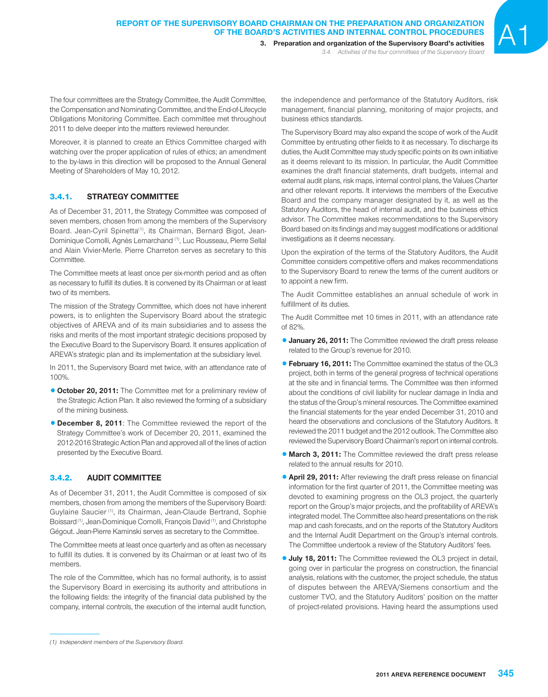3. Preparation and organization of the Supervisory Board's activities *3.4. Activities of the four committees of the Supervisory Board*

The four committees are the Strategy Committee, the Audit Committee, the Compensation and Nominating Committee, and the End-of-Lifecycle Obligations Monitoring Committee. Each committee met throughout 2011 to delve deeper into the matters reviewed hereunder.

Moreover, it is planned to create an Ethics Committee charged with watching over the proper application of rules of ethics; an amendment to the by-laws in this direction will be proposed to the Annual General Meeting of Shareholders of May 10, 2012.

## 3.4.1. **STRATEGY COMMITTEE**

As of December 31, 2011, the Strategy Committee was composed of seven members, chosen from among the members of the Supervisory Board. Jean-Cyril Spinetta<sup>(1)</sup>, its Chairman, Bernard Bigot, Jean-Dominique Comolli, Agnès Lemarchand (1), Luc Rousseau, Pierre Sellal and Alain Vivier-Merle. Pierre Charreton serves as secretary to this Committee.

The Committee meets at least once per six-month period and as often as necessary to fulfill its duties. It is convened by its Chairman or at least two of its members.

The mission of the Strategy Committee, which does not have inherent powers, is to enlighten the Supervisory Board about the strategic objectives of AREVA and of its main subsidiaries and to assess the risks and merits of the most important strategic decisions proposed by the Executive Board to the Supervisory Board. It ensures application of AREVA's strategic plan and its implementation at the subsidiary level.

In 2011, the Supervisory Board met twice, with an attendance rate of 100%.

- **0 October 20, 2011:** The Committee met for a preliminary review of the Strategic Action Plan. It also reviewed the forming of a subsidiary of the mining business.
- **December 8, 2011**: The Committee reviewed the report of the Strategy Committee's work of December 20, 2011, examined the 2012-2016 Strategic Action Plan and approved all of the lines of action presented by the Executive Board.

## 3.4.2. **AUDIT COMMITTEE**

As of December 31, 2011, the Audit Committee is composed of six members, chosen from among the members of the Supervisory Board: Guylaine Saucier (1), its Chairman, Jean-Claude Bertrand, Sophie Boissard (1), Jean-Dominique Comolli, François David (1), and Christophe Gégout. Jean-Pierre Kaminski serves as secretary to the Committee.

The Committee meets at least once quarterly and as often as necessary to fulfill its duties. It is convened by its Chairman or at least two of its members.

The role of the Committee, which has no formal authority, is to assist the Supervisory Board in exercising its authority and attributions in the following fields: the integrity of the financial data published by the company, internal controls, the execution of the internal audit function, The Supervisory Board may also expand the scope of work of the Audit Committee by entrusting other fields to it as necessary. To discharge its duties, the Audit Committee may study specific points on its own initiative as it deems relevant to its mission. In particular, the Audit Committee examines the draft financial statements, draft budgets, internal and external audit plans, risk maps, internal control plans, the Values Charter and other relevant reports. It interviews the members of the Executive Board and the company manager designated by it, as well as the Statutory Auditors, the head of internal audit, and the business ethics advisor. The Committee makes recommendations to the Supervisory Board based on its findings and may suggest modifications or additional investigations as it deems necessary.

Upon the expiration of the terms of the Statutory Auditors, the Audit Committee considers competitive offers and makes recommendations to the Supervisory Board to renew the terms of the current auditors or to appoint a new firm.

The Audit Committee establishes an annual schedule of work in fulfillment of its duties.

The Audit Committee met 10 times in 2011, with an attendance rate of 82%.

- **January 26, 2011:** The Committee reviewed the draft press release related to the Group's revenue for 2010.
- **February 16, 2011:** The Committee examined the status of the OL3 project, both in terms of the general progress of technical operations at the site and in financial terms. The Committee was then informed about the conditions of civil liability for nuclear damage in India and the status of the Group's mineral resources. The Committee examined the financial statements for the year ended December 31, 2010 and heard the observations and conclusions of the Statutory Auditors. It reviewed the 2011 budget and the 2012 outlook. The Committee also reviewed the Supervisory Board Chairman's report on internal controls.
- **March 3, 2011:** The Committee reviewed the draft press release related to the annual results for 2010.
- **4 April 29, 2011:** After reviewing the draft press release on financial information for the first quarter of 2011, the Committee meeting was devoted to examining progress on the OL3 project, the quarterly report on the Group's major projects, and the profitability of AREVA's integrated model. The Committee also heard presentations on the risk map and cash forecasts, and on the reports of the Statutory Auditors and the Internal Audit Department on the Group's internal controls. The Committee undertook a review of the Statutory Auditors' fees.
- **July 18, 2011:** The Committee reviewed the OL3 project in detail, going over in particular the progress on construction, the financial analysis, relations with the customer, the project schedule, the status of disputes between the AREVA/Siemens consortium and the customer TVO, and the Statutory Auditors' position on the matter of project-related provisions. Having heard the assumptions used

the independence and performance of the Statutory Auditors, risk management, financial planning, monitoring of major projects, and business ethics standards.

*<sup>(1)</sup> Independent members of the Supervisory Board.*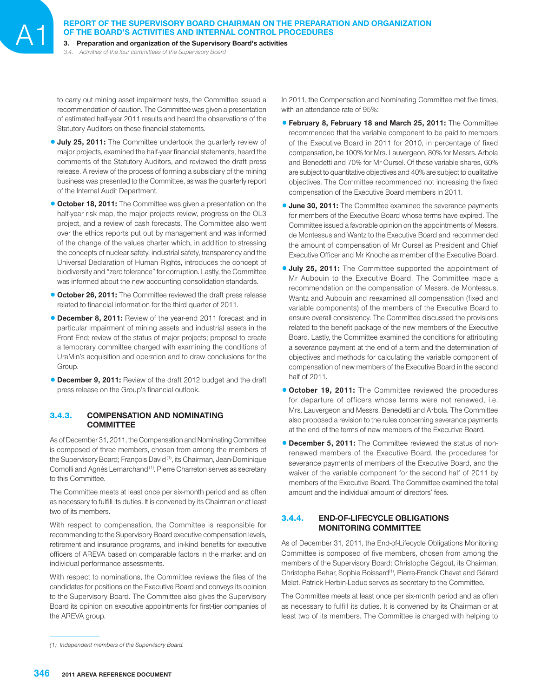**REPORT OF THE SUPERVISORY BOARD CHAIRMAN ON THE PREPARATION AND ORGANIZATION OF THE BOARD'S ACTIVITIES AND INTERNAL CONTROL PROCEDURES**<br>3. Preparation and organization of the Supervisory Board's activities

*3.4. Activities of the four committees of the Supervisory Board*

to carry out mining asset impairment tests, the Committee issued a recommendation of caution. The Committee was given a presentation of estimated half-year 2011 results and heard the observations of the Statutory Auditors on these financial statements.

- **July 25, 2011:** The Committee undertook the quarterly review of major projects, examined the half-year financial statements, heard the comments of the Statutory Auditors, and reviewed the draft press release. A review of the process of forming a subsidiary of the mining business was presented to the Committee, as was the quarterly report of the Internal Audit Department.
- **October 18, 2011:** The Committee was given a presentation on the half-year risk map, the major projects review, progress on the OL3 project, and a review of cash forecasts. The Committee also went over the ethics reports put out by management and was informed of the change of the values charter which, in addition to stressing the concepts of nuclear safety, industrial safety, transparency and the Universal Declaration of Human Rights, introduces the concept of biodiversity and "zero tolerance" for corruption. Lastly, the Committee was informed about the new accounting consolidation standards.
- **October 26, 2011:** The Committee reviewed the draft press release related to financial information for the third quarter of 2011.
- **December 8, 2011:** Review of the year-end 2011 forecast and in particular impairment of mining assets and industrial assets in the Front End; review of the status of major projects; proposal to create a temporary committee charged with examining the conditions of UraMin's acquisition and operation and to draw conclusions for the Group
- **December 9, 2011:** Review of the draft 2012 budget and the draft press release on the Group's financial outlook.

## 3.4.3. **COMPENSATION AND NOMINATING COMMITTEE**

As of December 31, 2011, the Compensation and Nominating Committee is composed of three members, chosen from among the members of the Supervisory Board; François David<sup>(1)</sup>, its Chairman, Jean-Dominique Comolli and Agnès Lemarchand<sup>(1)</sup>. Pierre Charreton serves as secretary to this Committee.

The Committee meets at least once per six-month period and as often as necessary to fulfill its duties. It is convened by its Chairman or at least two of its members.

With respect to compensation, the Committee is responsible for recommending to the Supervisory Board executive compensation levels, retirement and insurance programs, and in-kind benefits for executive officers of AREVA based on comparable factors in the market and on individual performance assessments.

With respect to nominations, the Committee reviews the files of the candidates for positions on the Executive Board and conveys its opinion to the Supervisory Board. The Committee also gives the Supervisory Board its opinion on executive appointments for first-tier companies of the AREVA group.

In 2011, the Compensation and Nominating Committee met five times, with an attendance rate of 95%:

- 1**February 8, February 18 and March 25, 2011:** The Committee recommended that the variable component to be paid to members of the Executive Board in 2011 for 2010, in percentage of fixed compensation, be 100% for Mrs. Lauvergeon, 80% for Messrs. Arbola and Benedetti and 70% for Mr Oursel. Of these variable shares, 60% are subject to quantitative objectives and 40% are subject to qualitative objectives. The Committee recommended not increasing the fixed compensation of the Executive Board members in 2011.
- **June 30, 2011:** The Committee examined the severance payments for members of the Executive Board whose terms have expired. The Committee issued a favorable opinion on the appointments of Messrs. de Montessus and Wantz to the Executive Board and recommended the amount of compensation of Mr Oursel as President and Chief Executive Officer and Mr Knoche as member of the Executive Board.
- **July 25, 2011:** The Committee supported the appointment of Mr Aubouin to the Executive Board. The Committee made a recommendation on the compensation of Messrs. de Montessus, Wantz and Aubouin and reexamined all compensation (fixed and variable components) of the members of the Executive Board to ensure overall consistency. The Committee discussed the provisions related to the benefit package of the new members of the Executive Board. Lastly, the Committee examined the conditions for attributing a severance payment at the end of a term and the determination of objectives and methods for calculating the variable component of compensation of new members of the Executive Board in the second half of 2011.
- **. October 19, 2011:** The Committee reviewed the procedures for departure of officers whose terms were not renewed, i.e. Mrs. Lauvergeon and Messrs. Benedetti and Arbola. The Committee also proposed a revision to the rules concerning severance payments at the end of the terms of new members of the Executive Board.
- **December 5, 2011:** The Committee reviewed the status of nonrenewed members of the Executive Board, the procedures for severance payments of members of the Executive Board, and the waiver of the variable component for the second half of 2011 by members of the Executive Board. The Committee examined the total amount and the individual amount of directors' fees.

## 3.4.4. **END-OF-LIFECYCLE OBLIGATIONS MONITORING COMMITTEE**

As of December 31, 2011, the End-of-Lifecycle Obligations Monitoring Committee is composed of five members, chosen from among the members of the Supervisory Board: Christophe Gégout, its Chairman, Christophe Behar, Sophie Boissard(1), Pierre-Franck Chevet and Gérard Melet. Patrick Herbin-Leduc serves as secretary to the Committee.

The Committee meets at least once per six-month period and as often as necessary to fulfill its duties. It is convened by its Chairman or at least two of its members. The Committee is charged with helping to

*<sup>(1)</sup> Independent members of the Supervisory Board.*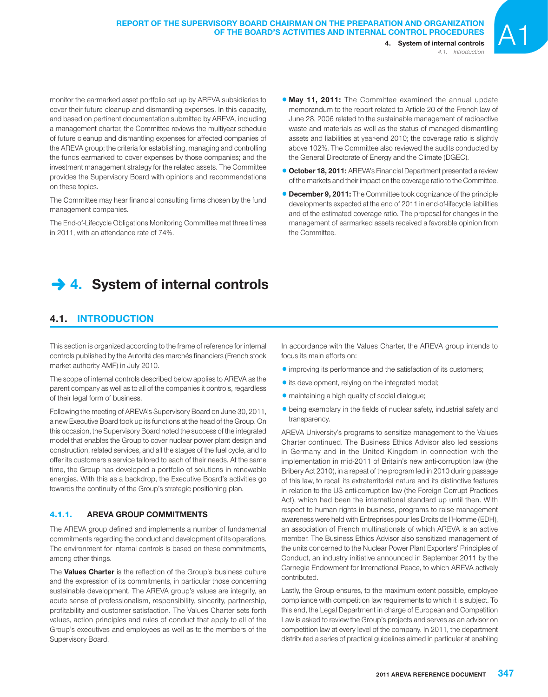*4.1. Introduction*

monitor the earmarked asset portfolio set up by AREVA subsidiaries to cover their future cleanup and dismantling expenses. In this capacity, and based on pertinent documentation submitted by AREVA, including a management charter, the Committee reviews the multiyear schedule of future cleanup and dismantling expenses for affected companies of the AREVA group; the criteria for establishing, managing and controlling the funds earmarked to cover expenses by those companies; and the investment management strategy for the related assets. The Committee provides the Supervisory Board with opinions and recommendations on these topics.

The Committee may hear financial consulting firms chosen by the fund management companies.

The End-of-Lifecycle Obligations Monitoring Committee met three times in 2011, with an attendance rate of 74%.

**May 11, 2011:** The Committee examined the annual update memorandum to the report related to Article 20 of the French law of June 28, 2006 related to the sustainable management of radioactive waste and materials as well as the status of managed dismantling assets and liabilities at year-end 2010; the coverage ratio is slightly above 102%. The Committee also reviewed the audits conducted by the General Directorate of Energy and the Climate (DGEC).

- **0 October 18, 2011:** AREVA's Financial Department presented a review of the markets and their impact on the coverage ratio to the Committee.
- **December 9, 2011:** The Committee took cognizance of the principle developments expected at the end of 2011 in end-of-lifecycle liabilities and of the estimated coverage ratio. The proposal for changes in the management of earmarked assets received a favorable opinion from the Committee.

# **→ 4. System of internal controls**

# **4.1. INTRODUCTION**

This section is organized according to the frame of reference for internal controls published by the Autorité des marchés financiers (French stock market authority AMF) in July 2010.

The scope of internal controls described below applies to AREVA as the parent company as well as to all of the companies it controls, regardless of their legal form of business.

Following the meeting of AREVA's Supervisory Board on June 30, 2011, a new Executive Board took up its functions at the head of the Group. On this occasion, the Supervisory Board noted the success of the integrated model that enables the Group to cover nuclear power plant design and construction, related services, and all the stages of the fuel cycle, and to offer its customers a service tailored to each of their needs. At the same time, the Group has developed a portfolio of solutions in renewable energies. With this as a backdrop, the Executive Board's activities go towards the continuity of the Group's strategic positioning plan.

## 4.1.1. **AREVA GROUP COMMITMENTS**

The AREVA group defined and implements a number of fundamental commitments regarding the conduct and development of its operations. The environment for internal controls is based on these commitments, among other things.

The **Values Charter** is the reflection of the Group's business culture and the expression of its commitments, in particular those concerning sustainable development. The AREVA group's values are integrity, an acute sense of professionalism, responsibility, sincerity, partnership, profitability and customer satisfaction. The Values Charter sets forth values, action principles and rules of conduct that apply to all of the Group's executives and employees as well as to the members of the Supervisory Board.

In accordance with the Values Charter, the AREVA group intends to focus its main efforts on:

- improving its performance and the satisfaction of its customers;
- its development, relying on the integrated model;
- maintaining a high quality of social dialogue;
- being exemplary in the fields of nuclear safety, industrial safety and transparency.

AREVA University's programs to sensitize management to the Values Charter continued. The Business Ethics Advisor also led sessions in Germany and in the United Kingdom in connection with the implementation in mid-2011 of Britain's new anti-corruption law (the Bribery Act 2010), in a repeat of the program led in 2010 during passage of this law, to recall its extraterritorial nature and its distinctive features in relation to the US anti-corruption law (the Foreign Corrupt Practices Act), which had been the international standard up until then. With respect to human rights in business, programs to raise management awareness were held with Entreprises pour les Droits de l'Homme (EDH), an association of French multinationals of which AREVA is an active member. The Business Ethics Advisor also sensitized management of the units concerned to the Nuclear Power Plant Exporters' Principles of Conduct, an industry initiative announced in September 2011 by the Carnegie Endowment for International Peace, to which AREVA actively contributed.

Lastly, the Group ensures, to the maximum extent possible, employee compliance with competition law requirements to which it is subject. To this end, the Legal Department in charge of European and Competition Law is asked to review the Group's projects and serves as an advisor on competition law at every level of the company. In 2011, the department distributed a series of practical guidelines aimed in particular at enabling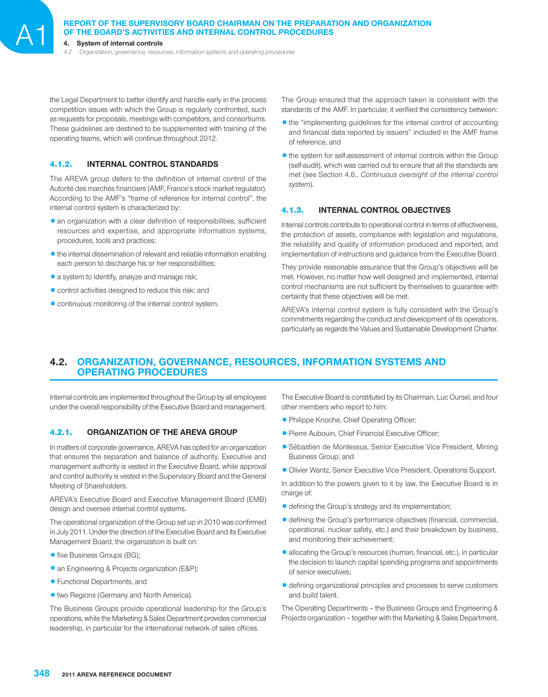# **REPORT OF THE SUPERVISORY BOARD CHAIRMAN ON THE PREPARATION AND ORGANIZATION OF THE BOARD'S ACTIVITIES AND INTERNAL CONTROL PROCEDURES**<br>4. System of internal controls

*4.2. Organization, governance, resources, information systems and operating procedures*

the Legal Department to better identify and handle early in the process competition issues with which the Group is regularly confronted, such as requests for proposals, meetings with competitors, and consortiums. These guidelines are destined to be supplemented with training of the operating teams, which will continue throughout 2012.

## 4.1.2. **INTERNAL CONTROL STANDARDS**

The AREVA group defers to the definition of internal control of the Autorité des marchés financiers (AMF, France's stock market regulator). According to the AMF's "frame of reference for internal control", the internal control system is characterized by:

- an organization with a clear definition of responsibilities, sufficient resources and expertise, and appropriate information systems, procedures, tools and practices;
- the internal dissemination of relevant and reliable information enabling each person to discharge his or her responsibilities;
- a system to identify, analyze and manage risk;
- control activities designed to reduce this risk; and
- $\bullet$  continuous monitoring of the internal control system.

The Group ensured that the approach taken is consistent with the standards of the AMF. In particular, it verified the consistency between:

- the "implementing guidelines for the internal control of accounting and financial data reported by issuers" included in the AMF frame of reference, and
- the system for self-assessment of internal controls within the Group (self-audit), which was carried out to ensure that all the standards are met (see Section 4.6., *Continuous oversight of the internal control system*).

## 4.1.3. **INTERNAL CONTROL OBJECTIVES**

Internal controls contribute to operational control in terms of effectiveness, the protection of assets, compliance with legislation and regulations, the reliability and quality of information produced and reported, and implementation of instructions and guidance from the Executive Board.

They provide reasonable assurance that the Group's objectives will be met. However, no matter how well designed and implemented, internal control mechanisms are not sufficient by themselves to guarantee with certainty that these objectives will be met.

AREVA's internal control system is fully consistent with the Group's commitments regarding the conduct and development of its operations, particularly as regards the Values and Sustainable Development Charter.

# **4.2. ORGANIZATION, GOVERNANCE, RESOURCES, INFORMATION SYSTEMS AND OPERATING PROCEDURES**

Internal controls are implemented throughout the Group by all employees under the overall responsibility of the Executive Board and management.

## 4.2.1. **ORGANIZATION OF THE AREVA GROUP**

In matters of corporate governance, AREVA has opted for an organization that ensures the separation and balance of authority. Executive and management authority is vested in the Executive Board, while approval and control authority is vested in the Supervisory Board and the General Meeting of Shareholders.

AREVA's Executive Board and Executive Management Board (EMB) design and oversee internal control systems.

The operational organization of the Group set up in 2010 was confirmed in July 2011. Under the direction of the Executive Board and its Executive Management Board, the organization is built on:

- five Business Groups (BG);
- an Engineering & Projects organization (E&P);
- **Functional Departments, and**
- 1two Regions (Germany and North America).

The Business Groups provide operational leadership for the Group's operations, while the Marketing & Sales Department provides commercial leadership, in particular for the international network of sales offices.

The Executive Board is constituted by its Chairman, Luc Oursel, and four other members who report to him:

- Philippe Knoche, Chief Operating Officer;
- Pierre Aubouin, Chief Financial Executive Officer;
- 1Sébastien de Montessus, Senior Executive Vice President, Mining Business Group; and
- Olivier Wantz, Senior Executive Vice President, Operations Support.

In addition to the powers given to it by law, the Executive Board is in charge of:

- defining the Group's strategy and its implementation;
- $\bullet$  defining the Group's performance objectives (financial, commercial, operational, nuclear safety, etc.) and their breakdown by business, and monitoring their achievement;
- allocating the Group's resources (human, financial, etc.), in particular the decision to launch capital spending programs and appointments of senior executives;
- defining organizational principles and processes to serve customers and build talent.

The Operating Departments – the Business Groups and Engineering & Projects organization – together with the Marketing & Sales Department,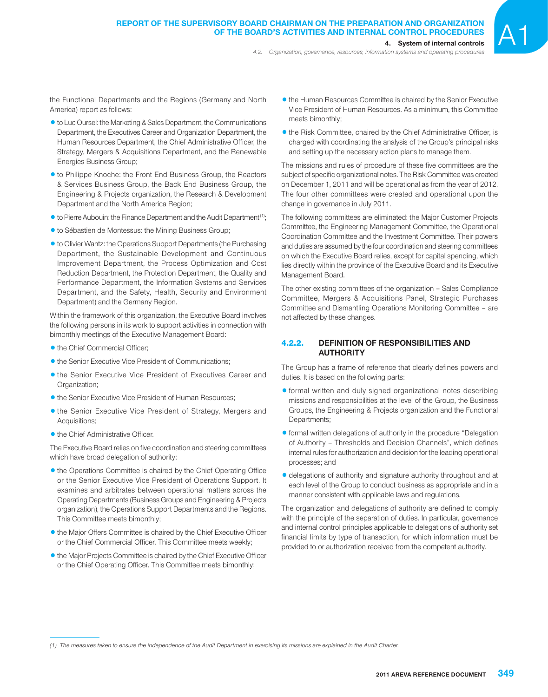*4.2. Organization, governance, resources, information systems and operating procedures*

- 1to Luc Oursel: the Marketing & Sales Department, the Communications Department, the Executives Career and Organization Department, the Human Resources Department, the Chief Administrative Officer, the Strategy, Mergers & Acquisitions Department, and the Renewable Energies Business Group;
- 1to Philippe Knoche: the Front End Business Group, the Reactors & Services Business Group, the Back End Business Group, the Engineering & Projects organization, the Research & Development Department and the North America Region;
- $\bullet$  to Pierre Aubouin: the Finance Department and the Audit Department<sup>(1)</sup>;
- $\bullet$  to Sébastien de Montessus: the Mining Business Group;
- to Olivier Wantz: the Operations Support Departments (the Purchasing Department, the Sustainable Development and Continuous Improvement Department, the Process Optimization and Cost Reduction Department, the Protection Department, the Quality and Performance Department, the Information Systems and Services Department, and the Safety, Health, Security and Environment Department) and the Germany Region.

Within the framework of this organization, the Executive Board involves the following persons in its work to support activities in connection with bimonthly meetings of the Executive Management Board:

- the Chief Commercial Officer:
- the Senior Executive Vice President of Communications;
- **the Senior Executive Vice President of Executives Career and** Organization;
- the Senior Executive Vice President of Human Resources;
- the Senior Executive Vice President of Strategy, Mergers and Acquisitions;
- $\bullet$  the Chief Administrative Officer.

The Executive Board relies on five coordination and steering committees which have broad delegation of authority:

- the Operations Committee is chaired by the Chief Operating Office or the Senior Executive Vice President of Operations Support. It examines and arbitrates between operational matters across the Operating Departments (Business Groups and Engineering & Projects organization), the Operations Support Departments and the Regions. This Committee meets bimonthly;
- the Major Offers Committee is chaired by the Chief Executive Officer or the Chief Commercial Officer. This Committee meets weekly;
- the Major Projects Committee is chaired by the Chief Executive Officer or the Chief Operating Officer. This Committee meets bimonthly;
- **the Human Resources Committee is chaired by the Senior Executive** Vice President of Human Resources. As a minimum, this Committee meets bimonthly;
- the Risk Committee, chaired by the Chief Administrative Officer, is charged with coordinating the analysis of the Group's principal risks and setting up the necessary action plans to manage them.

The missions and rules of procedure of these five committees are the subject of specific organizational notes. The Risk Committee was created on December 1, 2011 and will be operational as from the year of 2012. The four other committees were created and operational upon the change in governance in July 2011.

The following committees are eliminated: the Major Customer Projects Committee, the Engineering Management Committee, the Operational Coordination Committee and the Investment Committee. Their powers and duties are assumed by the four coordination and steering committees on which the Executive Board relies, except for capital spending, which lies directly within the province of the Executive Board and its Executive Management Board.

The other existing committees of the organization – Sales Compliance Committee, Mergers & Acquisitions Panel, Strategic Purchases Committee and Dismantling Operations Monitoring Committee – are not affected by these changes.

## 4.2.2. **DEFINITION OF RESPONSIBILITIES AND AUTHORITY**

The Group has a frame of reference that clearly defines powers and duties. It is based on the following parts:

- $\bullet$  formal written and duly signed organizational notes describing missions and responsibilities at the level of the Group, the Business Groups, the Engineering & Projects organization and the Functional Departments;
- **•** formal written delegations of authority in the procedure "Delegation of Authority - Thresholds and Decision Channels", which defines internal rules for authorization and decision for the leading operational processes; and
- 1delegations of authority and signature authority throughout and at each level of the Group to conduct business as appropriate and in a manner consistent with applicable laws and regulations.

The organization and delegations of authority are defined to comply with the principle of the separation of duties. In particular, governance and internal control principles applicable to delegations of authority set financial limits by type of transaction, for which information must be provided to or authorization received from the competent authority.

*<sup>(1)</sup> The measures taken to ensure the independence of the Audit Department in exercising its missions are explained in the Audit Charter.*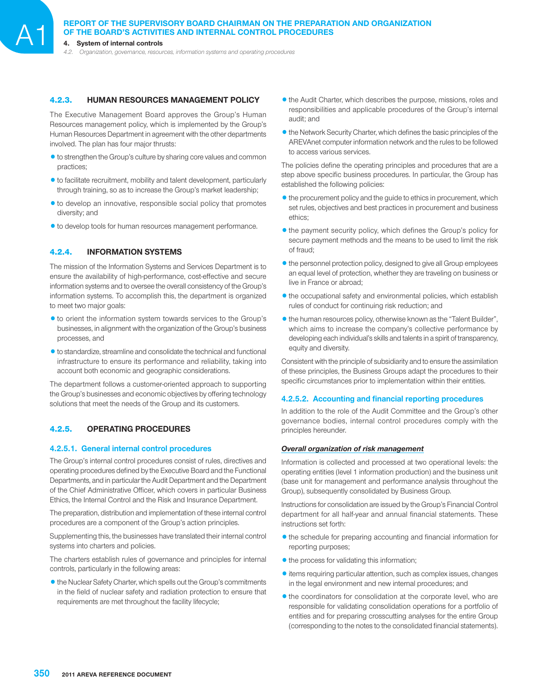# **REPORT OF THE SUPERVISORY BOARD CHAIRMAN ON THE PREPARATION AND ORGANIZATION OF THE BOARD'S ACTIVITIES AND INTERNAL CONTROL PROCEDURES**<br>4. System of internal controls

*4.2. Organization, governance, resources, information systems and operating procedures*

## 4.2.3. **HUMAN RESOURCES MANAGEMENT POLICY**

The Executive Management Board approves the Group's Human Resources management policy, which is implemented by the Group's Human Resources Department in agreement with the other departments involved. The plan has four major thrusts:

- $\bullet$  to strengthen the Group's culture by sharing core values and common practices;
- $\bullet$  to facilitate recruitment, mobility and talent development, particularly through training, so as to increase the Group's market leadership;
- $\bullet$  to develop an innovative, responsible social policy that promotes diversity; and
- $\bullet$  to develop tools for human resources management performance.

## 4.2.4. **INFORMATION SYSTEMS**

The mission of the Information Systems and Services Department is to ensure the availability of high-performance, cost-effective and secure information systems and to oversee the overall consistency of the Group's information systems. To accomplish this, the department is organized to meet two major goals:

- to orient the information system towards services to the Group's businesses, in alignment with the organization of the Group's business processes, and
- $\bullet$  to standardize, streamline and consolidate the technical and functional infrastructure to ensure its performance and reliability, taking into account both economic and geographic considerations.

The department follows a customer-oriented approach to supporting the Group's businesses and economic objectives by offering technology solutions that meet the needs of the Group and its customers.

## 4.2.5. **OPERATING PROCEDURES**

#### **4.2.5.1. General internal control procedures**

The Group's internal control procedures consist of rules, directives and operating procedures defined by the Executive Board and the Functional Departments, and in particular the Audit Department and the Department of the Chief Administrative Officer, which covers in particular Business Ethics, the Internal Control and the Risk and Insurance Department.

The preparation, distribution and implementation of these internal control procedures are a component of the Group's action principles.

Supplementing this, the businesses have translated their internal control systems into charters and policies.

The charters establish rules of governance and principles for internal controls, particularly in the following areas:

1the Nuclear Safety Charter, which spells out the Group's commitments in the field of nuclear safety and radiation protection to ensure that requirements are met throughout the facility lifecycle;

- the Audit Charter, which describes the purpose, missions, roles and responsibilities and applicable procedures of the Group's internal audit; and
- the Network Security Charter, which defines the basic principles of the AREVAnet computer information network and the rules to be followed to access various services.

The policies define the operating principles and procedures that are a step above specific business procedures. In particular, the Group has established the following policies:

- $\bullet$  the procurement policy and the guide to ethics in procurement, which set rules, objectives and best practices in procurement and business ethics;
- $\bullet$  the payment security policy, which defines the Group's policy for secure payment methods and the means to be used to limit the risk of fraud;
- $\bullet$  the personnel protection policy, designed to give all Group employees an equal level of protection, whether they are traveling on business or live in France or abroad;
- $\bullet$  the occupational safety and environmental policies, which establish rules of conduct for continuing risk reduction; and
- $\bullet$  the human resources policy, otherwise known as the "Talent Builder", which aims to increase the company's collective performance by developing each individual's skills and talents in a spirit of transparency, equity and diversity.

Consistent with the principle of subsidiarity and to ensure the assimilation of these principles, the Business Groups adapt the procedures to their specific circumstances prior to implementation within their entities.

#### **4.2.5.2. Accounting and financial reporting procedures**

In addition to the role of the Audit Committee and the Group's other governance bodies, internal control procedures comply with the principles hereunder.

#### *Overall organization of risk management*

Information is collected and processed at two operational levels: the operating entities (level 1 information production) and the business unit (base unit for management and performance analysis throughout the Group), subsequently consolidated by Business Group.

Instructions for consolidation are issued by the Group's Financial Control department for all half-year and annual financial statements. These instructions set forth:

- $\bullet$  the schedule for preparing accounting and financial information for reporting purposes;
- $\bullet$  the process for validating this information;
- 1items requiring particular attention, such as complex issues, changes in the legal environment and new internal procedures; and
- $\bullet$  the coordinators for consolidation at the corporate level, who are responsible for validating consolidation operations for a portfolio of entities and for preparing crosscutting analyses for the entire Group (corresponding to the notes to the consolidated financial statements).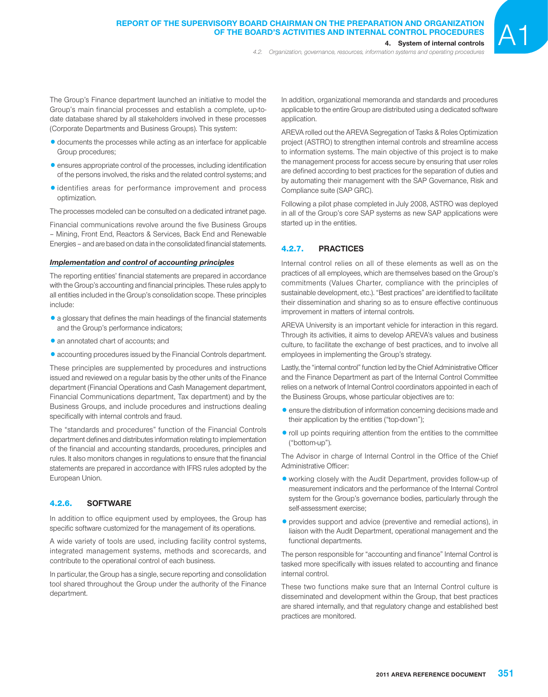The Group's Finance department launched an initiative to model the Group's main financial processes and establish a complete, up-todate database shared by all stakeholders involved in these processes (Corporate Departments and Business Groups). This system:

- documents the processes while acting as an interface for applicable Group procedures;
- $\bullet$  ensures appropriate control of the processes, including identification of the persons involved, the risks and the related control systems; and
- 1identifies areas for performance improvement and process optimization.

The processes modeled can be consulted on a dedicated intranet page.

Financial communications revolve around the five Business Groups – Mining, Front End, Reactors & Services, Back End and Renewable Energies – and are based on data in the consolidated financial statements.

#### *Implementation and control of accounting principles*

The reporting entities' financial statements are prepared in accordance with the Group's accounting and financial principles. These rules apply to all entities included in the Group's consolidation scope. These principles include:

- $\bullet$  a glossary that defines the main headings of the financial statements and the Group's performance indicators;
- an annotated chart of accounts; and
- 1accounting procedures issued by the Financial Controls department.

These principles are supplemented by procedures and instructions issued and reviewed on a regular basis by the other units of the Finance department (Financial Operations and Cash Management department, Financial Communications department, Tax department) and by the Business Groups, and include procedures and instructions dealing specifically with internal controls and fraud.

The "standards and procedures" function of the Financial Controls department defines and distributes information relating to implementation of the financial and accounting standards, procedures, principles and rules. It also monitors changes in regulations to ensure that the financial statements are prepared in accordance with IFRS rules adopted by the European Union.

## 4.2.6. **SOFTWARE**

In addition to office equipment used by employees, the Group has specific software customized for the management of its operations.

A wide variety of tools are used, including facility control systems, integrated management systems, methods and scorecards, and contribute to the operational control of each business.

In particular, the Group has a single, secure reporting and consolidation tool shared throughout the Group under the authority of the Finance department.

In addition, organizational memoranda and standards and procedures applicable to the entire Group are distributed using a dedicated software application.

AREVA rolled out the AREVA Segregation of Tasks & Roles Optimization project (ASTRO) to strengthen internal controls and streamline access to information systems. The main objective of this project is to make the management process for access secure by ensuring that user roles are defined according to best practices for the separation of duties and by automating their management with the SAP Governance, Risk and Compliance suite (SAP GRC).

Following a pilot phase completed in July 2008, ASTRO was deployed in all of the Group's core SAP systems as new SAP applications were started up in the entities.

#### 4.2.7. **PRACTICES**

Internal control relies on all of these elements as well as on the practices of all employees, which are themselves based on the Group's commitments (Values Charter, compliance with the principles of sustainable development, etc.). "Best practices" are identified to facilitate their dissemination and sharing so as to ensure effective continuous improvement in matters of internal controls.

AREVA University is an important vehicle for interaction in this regard. Through its activities, it aims to develop AREVA's values and business culture, to facilitate the exchange of best practices, and to involve all employees in implementing the Group's strategy.

Lastly, the "internal control" function led by the Chief Administrative Officer and the Finance Department as part of the Internal Control Committee relies on a network of Internal Control coordinators appointed in each of the Business Groups, whose particular objectives are to:

- **•** ensure the distribution of information concerning decisions made and their application by the entities ("top-down");
- roll up points requiring attention from the entities to the committee ("bottom-up").

The Advisor in charge of Internal Control in the Office of the Chief Administrative Officer:

- 1working closely with the Audit Department, provides follow-up of measurement indicators and the performance of the Internal Control system for the Group's governance bodies, particularly through the self-assessment exercise;
- provides support and advice (preventive and remedial actions), in liaison with the Audit Department, operational management and the functional departments.

The person responsible for "accounting and finance" Internal Control is tasked more specifically with issues related to accounting and finance internal control.

These two functions make sure that an Internal Control culture is disseminated and development within the Group, that best practices are shared internally, and that regulatory change and established best practices are monitored.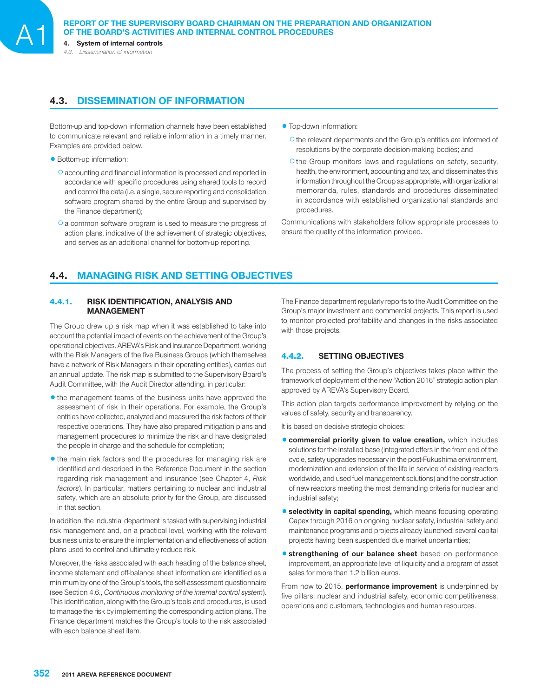*4.3. Dissemination of information*

## **4.3. DISSEMINATION OF INFORMATION**

Bottom-up and top-down information channels have been established to communicate relevant and reliable information in a timely manner. Examples are provided below.

• Bottom-up information:

- O accounting and financial information is processed and reported in accordance with specific procedures using shared tools to record and control the data (i.e. a single, secure reporting and consolidation software program shared by the entire Group and supervised by the Finance department);
- O a common software program is used to measure the progress of action plans, indicative of the achievement of strategic objectives, and serves as an additional channel for bottom-up reporting.
- Top-down information:
	- O the relevant departments and the Group's entities are informed of resolutions by the corporate decision-making bodies; and
	- O the Group monitors laws and regulations on safety, security, health, the environment, accounting and tax, and disseminates this information throughout the Group as appropriate, with organizational memoranda, rules, standards and procedures disseminated in accordance with established organizational standards and procedures.

Communications with stakeholders follow appropriate processes to ensure the quality of the information provided.

# **4.4. MANAGING RISK AND SETTING OBJECTIVES**

### 4.4.1. **RISK IDENTIFICATION, ANALYSIS AND MANAGEMENT**

The Group drew up a risk map when it was established to take into account the potential impact of events on the achievement of the Group's operational objectives. AREVA's Risk and Insurance Department, working with the Risk Managers of the five Business Groups (which themselves have a network of Risk Managers in their operating entities), carries out an annual update. The risk map is submitted to the Supervisory Board's Audit Committee, with the Audit Director attending. in particular:

- the management teams of the business units have approved the assessment of risk in their operations. For example, the Group's entities have collected, analyzed and measured the risk factors of their respective operations. They have also prepared mitigation plans and management procedures to minimize the risk and have designated the people in charge and the schedule for completion;
- $\bullet$  the main risk factors and the procedures for managing risk are identified and described in the Reference Document in the section regarding risk management and insurance (see Chapter 4, *Risk factors*). In particular, matters pertaining to nuclear and industrial safety, which are an absolute priority for the Group, are discussed in that section.

In addition, the Industrial department is tasked with supervising industrial risk management and, on a practical level, working with the relevant business units to ensure the implementation and effectiveness of action plans used to control and ultimately reduce risk.

Moreover, the risks associated with each heading of the balance sheet, income statement and off-balance sheet information are identified as a minimum by one of the Group's tools, the self-assessment questionnaire (see Section 4.6., *Continuous monitoring of the internal control system*). This identification, along with the Group's tools and procedures, is used to manage the risk by implementing the corresponding action plans. The Finance department matches the Group's tools to the risk associated with each balance sheet item.

The Finance department regularly reports to the Audit Committee on the Group's major investment and commercial projects. This report is used to monitor projected profitability and changes in the risks associated with those projects.

## 4.4.2. **SETTING OBJECTIVES**

The process of setting the Group's objectives takes place within the framework of deployment of the new "Action 2016" strategic action plan approved by AREVA's Supervisory Board.

This action plan targets performance improvement by relying on the values of safety, security and transparency.

It is based on decisive strategic choices:

- $\bullet$  **commercial priority given to value creation,** which includes solutions for the installed base (integrated offers in the front end of the cycle, safety upgrades necessary in the post-Fukushima environment, modernization and extension of the life in service of existing reactors worldwide, and used fuel management solutions) and the construction of new reactors meeting the most demanding criteria for nuclear and industrial safety;
- **selectivity in capital spending,** which means focusing operating Capex through 2016 on ongoing nuclear safety, industrial safety and maintenance programs and projects already launched; several capital projects having been suspended due market uncertainties;
- **<sup>o</sup> strengthening of our balance sheet** based on performance improvement, an appropriate level of liquidity and a program of asset sales for more than 1.2 billion euros.

From now to 2015, **performance improvement** is underpinned by five pillars: nuclear and industrial safety, economic competitiveness, operations and customers, technologies and human resources.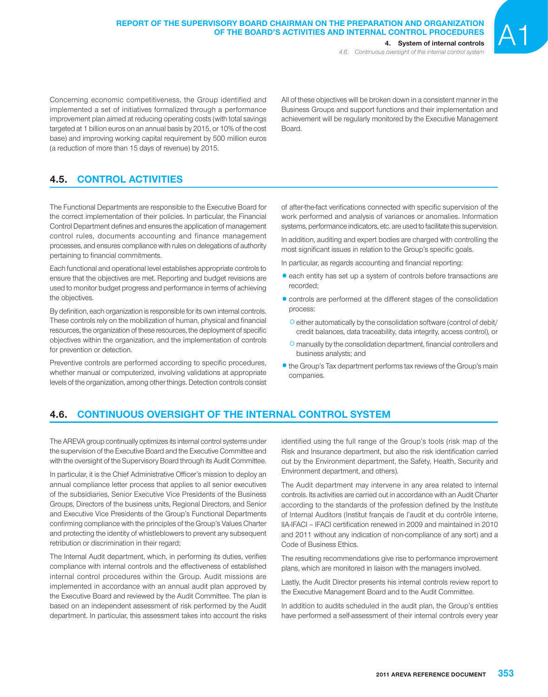Concerning economic competitiveness, the Group identified and implemented a set of initiatives formalized through a performance improvement plan aimed at reducing operating costs (with total savings targeted at 1 billion euros on an annual basis by 2015, or 10% of the cost base) and improving working capital requirement by 500 million euros (a reduction of more than 15 days of revenue) by 2015.

All of these objectives will be broken down in a consistent manner in the Business Groups and support functions and their implementation and achievement will be regularly monitored by the Executive Management Board.

# **4.5. CONTROL ACTIVITIES**

The Functional Departments are responsible to the Executive Board for the correct implementation of their policies. In particular, the Financial Control Department defines and ensures the application of management control rules, documents accounting and finance management processes, and ensures compliance with rules on delegations of authority pertaining to financial commitments.

Each functional and operational level establishes appropriate controls to ensure that the objectives are met. Reporting and budget revisions are used to monitor budget progress and performance in terms of achieving the objectives.

By definition, each organization is responsible for its own internal controls. These controls rely on the mobilization of human, physical and financial resources, the organization of these resources, the deployment of specific objectives within the organization, and the implementation of controls for prevention or detection.

Preventive controls are performed according to specific procedures, whether manual or computerized, involving validations at appropriate levels of the organization, among other things. Detection controls consist of after-the-fact verifications connected with specific supervision of the work performed and analysis of variances or anomalies. Information systems, performance indicators, etc. are used to facilitate this supervision.

In addition, auditing and expert bodies are charged with controlling the most significant issues in relation to the Group's specific goals.

In particular, as regards accounting and financial reporting:

- **•** each entity has set up a system of controls before transactions are recorded;
- $\bullet$  controls are performed at the different stages of the consolidation process:
	- Ceither automatically by the consolidation software (control of debit/ credit balances, data traceability, data integrity, access control), or
	- O manually by the consolidation department, financial controllers and business analysts; and
- $\bullet$  the Group's Tax department performs tax reviews of the Group's main companies.

# **4.6. CONTINUOUS OVERSIGHT OF THE INTERNAL CONTROL SYSTEM**

The AREVA group continually optimizes its internal control systems under the supervision of the Executive Board and the Executive Committee and with the oversight of the Supervisory Board through its Audit Committee.

In particular, it is the Chief Administrative Officer's mission to deploy an annual compliance letter process that applies to all senior executives of the subsidiaries, Senior Executive Vice Presidents of the Business Groups, Directors of the business units, Regional Directors, and Senior and Executive Vice Presidents of the Group's Functional Departments confirming compliance with the principles of the Group's Values Charter and protecting the identity of whistleblowers to prevent any subsequent retribution or discrimination in their regard;

The Internal Audit department, which, in performing its duties, verifies compliance with internal controls and the effectiveness of established internal control procedures within the Group. Audit missions are implemented in accordance with an annual audit plan approved by the Executive Board and reviewed by the Audit Committee. The plan is based on an independent assessment of risk performed by the Audit department. In particular, this assessment takes into account the risks identified using the full range of the Group's tools (risk map of the Risk and Insurance department, but also the risk identification carried out by the Environment department, the Safety, Health, Security and Environment department, and others).

The Audit department may intervene in any area related to internal controls. Its activities are carried out in accordance with an Audit Charter according to the standards of the profession defined by the Institute of Internal Auditors (Institut français de l'audit et du contrôle interne, IIA-IFACI – IFACI certification renewed in 2009 and maintained in 2010 and 2011 without any indication of non-compliance of any sort) and a Code of Business Ethics.

The resulting recommendations give rise to performance improvement plans, which are monitored in liaison with the managers involved.

Lastly, the Audit Director presents his internal controls review report to the Executive Management Board and to the Audit Committee.

In addition to audits scheduled in the audit plan, the Group's entities have performed a self-assessment of their internal controls every year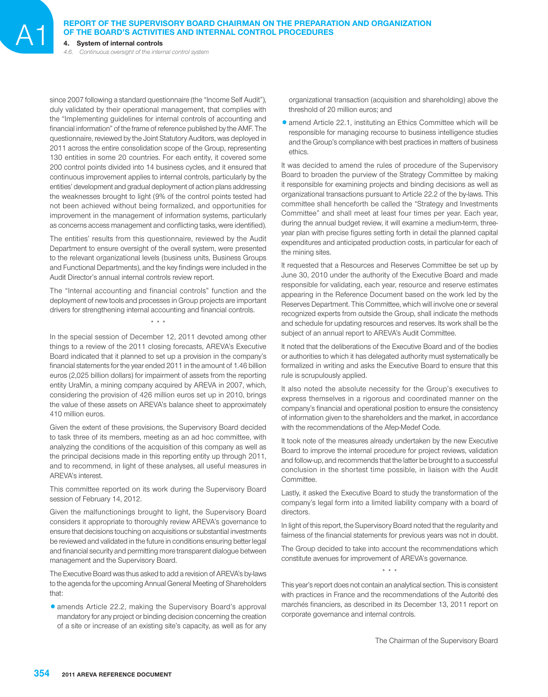# **REPORT OF THE SUPERVISORY BOARD CHAIRMAN ON THE PREPARATION AND ORGANIZATION OF THE BOARD'S ACTIVITIES AND INTERNAL CONTROL PROCEDURES**<br>4. System of internal controls

*4.6. Continuous oversight of the internal control system*

since 2007 following a standard questionnaire (the "Income Self Audit"), duly validated by their operational management, that complies with the "Implementing guidelines for internal controls of accounting and financial information" of the frame of reference published by the AMF. The questionnaire, reviewed by the Joint Statutory Auditors, was deployed in 2011 across the entire consolidation scope of the Group, representing 130 entities in some 20 countries. For each entity, it covered some 200 control points divided into 14 business cycles, and it ensured that continuous improvement applies to internal controls, particularly by the entities' development and gradual deployment of action plans addressing the weaknesses brought to light (9% of the control points tested had not been achieved without being formalized, and opportunities for improvement in the management of information systems, particularly as concerns access management and conflicting tasks, were identified).

The entities' results from this questionnaire, reviewed by the Audit Department to ensure oversight of the overall system, were presented to the relevant organizational levels (business units, Business Groups and Functional Departments), and the key findings were included in the Audit Director's annual internal controls review report.

The "Internal accounting and financial controls" function and the deployment of new tools and processes in Group projects are important drivers for strengthening internal accounting and financial controls.

\* \* \*

In the special session of December 12, 2011 devoted among other things to a review of the 2011 closing forecasts, AREVA's Executive Board indicated that it planned to set up a provision in the company's financial statements for the year ended 2011 in the amount of 1.46 billion euros (2,025 billion dollars) for impairment of assets from the reporting entity UraMin, a mining company acquired by AREVA in 2007, which, considering the provision of 426 million euros set up in 2010, brings the value of these assets on AREVA's balance sheet to approximately 410 million euros.

Given the extent of these provisions, the Supervisory Board decided to task three of its members, meeting as an ad hoc committee, with analyzing the conditions of the acquisition of this company as well as the principal decisions made in this reporting entity up through 2011, and to recommend, in light of these analyses, all useful measures in AREVA's interest.

This committee reported on its work during the Supervisory Board session of February 14, 2012.

Given the malfunctionings brought to light, the Supervisory Board considers it appropriate to thoroughly review AREVA's governance to ensure that decisions touching on acquisitions or substantial investments be reviewed and validated in the future in conditions ensuring better legal and financial security and permitting more transparent dialogue between management and the Supervisory Board.

The Executive Board was thus asked to add a revision of AREVA's by-laws to the agenda for the upcoming Annual General Meeting of Shareholders that:

1amends Article 22.2, making the Supervisory Board's approval mandatory for any project or binding decision concerning the creation of a site or increase of an existing site's capacity, as well as for any

organizational transaction (acquisition and shareholding) above the threshold of 20 million euros; and

• amend Article 22.1, instituting an Ethics Committee which will be responsible for managing recourse to business intelligence studies and the Group's compliance with best practices in matters of business ethics.

It was decided to amend the rules of procedure of the Supervisory Board to broaden the purview of the Strategy Committee by making it responsible for examining projects and binding decisions as well as organizational transactions pursuant to Article 22.2 of the by-laws. This committee shall henceforth be called the "Strategy and Investments Committee" and shall meet at least four times per year. Each year, during the annual budget review, it will examine a medium-term, threeyear plan with precise figures setting forth in detail the planned capital expenditures and anticipated production costs, in particular for each of the mining sites.

It requested that a Resources and Reserves Committee be set up by June 30, 2010 under the authority of the Executive Board and made responsible for validating, each year, resource and reserve estimates appearing in the Reference Document based on the work led by the Reserves Department. This Committee, which will involve one or several recognized experts from outside the Group, shall indicate the methods and schedule for updating resources and reserves. Its work shall be the subject of an annual report to AREVA's Audit Committee.

It noted that the deliberations of the Executive Board and of the bodies or authorities to which it has delegated authority must systematically be formalized in writing and asks the Executive Board to ensure that this rule is scrupulously applied.

It also noted the absolute necessity for the Group's executives to express themselves in a rigorous and coordinated manner on the company's financial and operational position to ensure the consistency of information given to the shareholders and the market, in accordance with the recommendations of the Afep-Medef Code.

It took note of the measures already undertaken by the new Executive Board to improve the internal procedure for project reviews, validation and follow-up, and recommends that the latter be brought to a successful conclusion in the shortest time possible, in liaison with the Audit Committee.

Lastly, it asked the Executive Board to study the transformation of the company's legal form into a limited liability company with a board of directors.

In light of this report, the Supervisory Board noted that the regularity and fairness of the financial statements for previous years was not in doubt.

The Group decided to take into account the recommendations which constitute avenues for improvement of AREVA's governance. \* \* \*

This year's report does not contain an analytical section. This is consistent with practices in France and the recommendations of the Autorité des marchés financiers, as described in its December 13, 2011 report on corporate governance and internal controls.

The Chairman of the Supervisory Board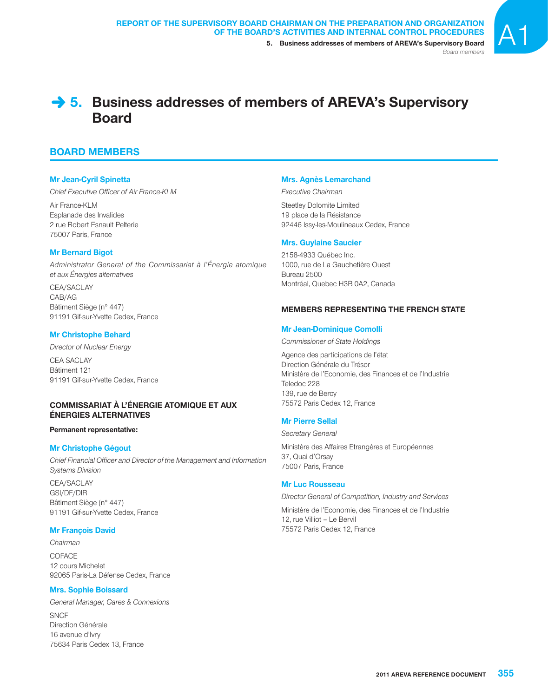

*Board members*

# **→ 5. Business addresses of members of AREVA's Supervisory Board**

# **BOARD MEMBERS**

## **Mr Jean-Cyril Spinetta**

**Chief Executive Officer of Air France-KLM** 

Air France-KLM Esplanade des Invalides 2 rue Robert Esnault Pelterie 75007 Paris, France

## **Mr Bernard Bigot**

*Administrator General of the Commissariat à l'Énergie atomique et aux Énergies alternatives*

CEA/SACLAY CAB/AG Bâtiment Siège (n° 447) 91191 Gif-sur-Yvette Cedex, France

## **Mr Christophe Behard**

*Director of Nuclear Energy*

CEA SACLAY Bâtiment 121 91191 Gif-sur-Yvette Cedex, France

## **COMMISSARIAT À L'ÉNERGIE ATOMIQUE ET AUX ÉNERGIES ALTERNATIVES**

## **Permanent representative:**

## **Mr Christophe Gégout**

**Chief Financial Officer and Director of the Management and Information** *Systems Division*

CEA/SACLAY GSI/DF/DIR Bâtiment Siège (n° 447) 91191 Gif-sur-Yvette Cedex, France

## **Mr François David**

*Chairman*

COFACE 12 cours Michelet 92065 Paris-La Défense Cedex, France

## **Mrs. Sophie Boissard**

*General Manager, Gares & Connexions* **SNCF** Direction Générale 16 avenue d'Ivry 75634 Paris Cedex 13, France

## **Mrs. Agnès Lemarchand**

#### *Executive Chairman*

Steetley Dolomite Limited 19 place de la Résistance 92446 Issy-les-Moulineaux Cedex, France

## **Mrs. Guylaine Saucier**

2158-4933 Québec Inc. 1000, rue de La Gauchetière Ouest Bureau 2500 Montréal, Quebec H3B 0A2, Canada

## **MEMBERS REPRESENTING THE FRENCH STATE**

## **Mr Jean-Dominique Comolli**

*Commissioner of State Holdings*

Agence des participations de l'état Direction Générale du Trésor Ministère de l'Economie, des Finances et de l'Industrie Teledoc 228 139, rue de Bercy 75572 Paris Cedex 12, France

## **Mr Pierre Sellal**

*Secretary General*

Ministère des Affaires Etrangères et Européennes 37, Quai d'Orsay 75007 Paris, France

## **Mr Luc Rousseau**

*Director General of Competition, Industry and Services*

Ministère de l'Economie, des Finances et de l'Industrie 12, rue Villiot – Le Bervil 75572 Paris Cedex 12, France